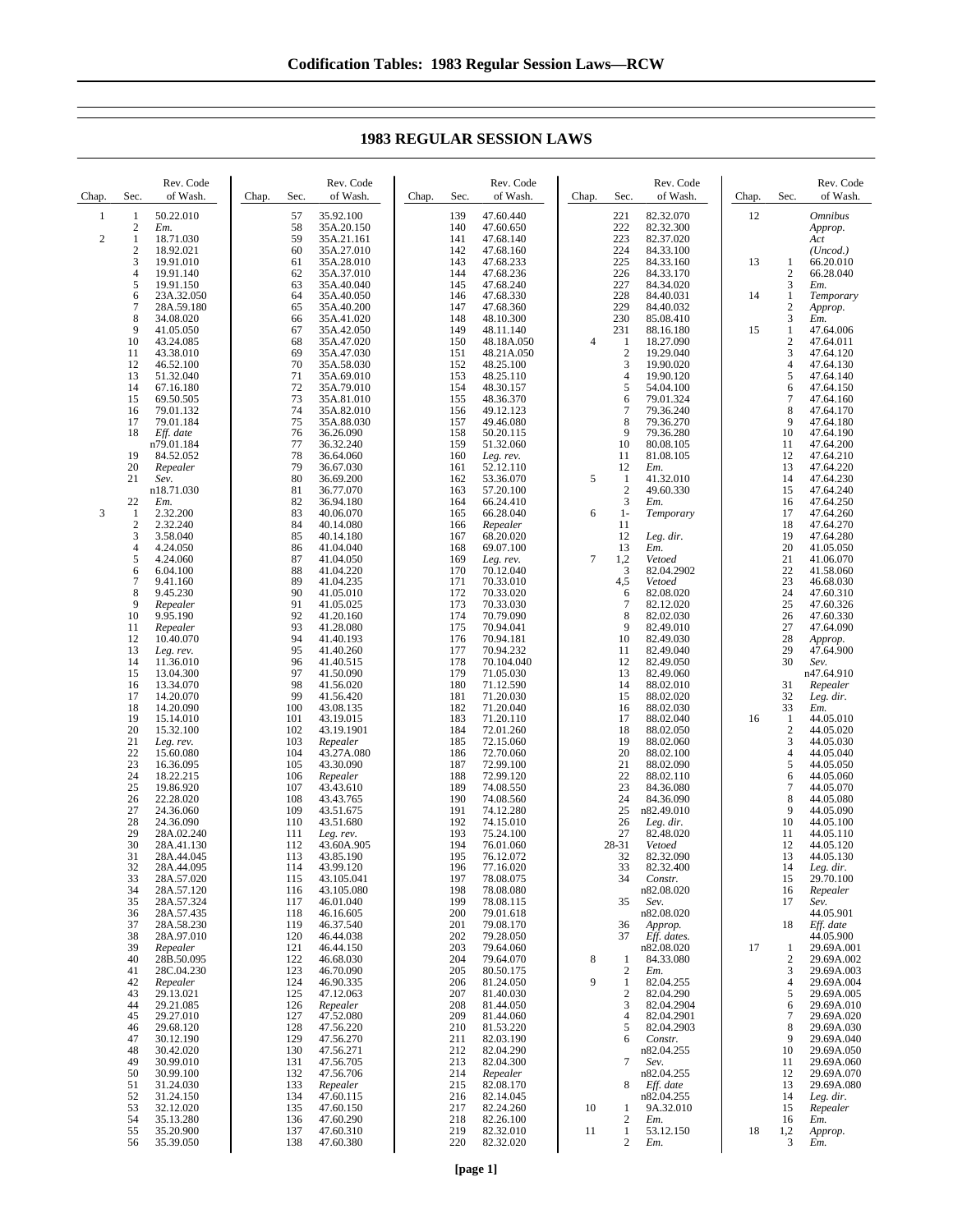Chap. Sec. Rev. Code of Wash.  $\frac{1}{2}$   $\frac{50.22.010}{Em}$  $\frac{2}{1}$  *Em.* 2  $\frac{1}{2}$  18.71.030<br>18.92.021 2 18.92.021<br>3 19.91.010<br>4 19.91.140 3 19.91.010 4 19.91.140<br>5 19.91.150 5 19.91.150<br>6 23A.32.05 6 23A.32.050<br>7 28A.59.180 7 28A.59.180<br>8 34.08.020<br>9 41.05.050 8 34.08.020 9 41.05.050<br>10 43.24.085 10 43.24.085 11 43.38.010<br>12 46.52.100 12 46.52.100<br>13 51.32.040 51.32.040 14 67.16.180<br>15 69.50.505 15 69.50.505<br>16 79.01.132 79.01.132 17 79.01.184<br>18 *Eff. date* 18 *Eff. date* n79.01.184 19 84.52.052<br>20 *Repealer* 20 *Repealer* 21 *Sev.* n18.71.030 22 *Em.*  $\frac{1}{2}$   $\frac{2.32.200}{2.32.240}$  $\begin{array}{r} 2 & 2.32.240 \\ 3 & 3.58.040 \end{array}$ 3 3.58.040 4.24.050<br>5 4.24.060  $5 \t 4.24.060$ <br>6 6.04.100  $\begin{array}{cc}\n 6 & 6.04.100 \\
7 & 9.41.160\n \end{array}$ 9.41.160 8 9.45.230<br>9 *Repealer* 9 *Repealer* 10 9.95.190 11 *Repealer* 10.40.070 13 *Leg. rev.* 14 11.36.010 15 13.04.300<br>16 13.34.070 13.34.070 17 14.20.070 18 14.20.090<br>19 15.14.010 19 15.14.010<br>20 15.32.100 20 15.32.100<br>21 Leg. rev. 21 *Leg. rev.* 22 15.60.080<br>23 16.36.095 23 16.36.095<br>24 18.22.215<br>25 19.86.920 24 18.22.215 25 19.86.920<br>26 22.28.020 26 22.28.020 27 24.36.060<br>28 24.36.090 28 24.36.090<br>29 28A.02.24 29 28A.02.240 30 28A.41.130<br>31 28A.44.045 28A.44.045 32 28A.44.095<br>33 28A.57.020 33 28A.57.020<br>34 28A.57.120<br>35 28A.57.324 34 28A.57.120 35 28A.57.324<br>36 28A 57.435 36 28A.57.435 37 28A.58.230 38 28A.97.010<br>39 *Repealer*<br>40 28B.50.095 39 *Repealer* 40 28B.50.095 41 28C.04.230<br>42 Repealer 42 *Repealer* 43 29.13.021<br>44 29.21.085<br>45 29.27.010 29.21.085 45 29.27.010<br>46 29.68.120 46 29.68.120<br>47 30.12.190 47 30.12.190 48 30.42.020<br>49 30.99.010<br>50 30.99.100 49 30.99.010 50 30.99.100 Chap. Sec Rev. Code of Wash. 57 35.92.100<br>58 35A.20.15 58 35A.20.150<br>59 35A.21.161 59 35A.21.161 60 35A.27.010<br>61 35A.28.010 61 35A.28.010 62 35A.37.010<br>63 35A.40.040 63 35A.40.040<br>64 35A.40.050 64 35A.40.050 65 35A.40.200 66 35A.41.020<br>67 35A.42.050 67 35A.42.050 68 35A.47.020<br>69 35A.47.030 69 35A.47.030 70 35A.58.030<br>71 35A.69.010<br>72 35A.79.010 35A.69.010 72 35A.79.010<br>73 35A.81.010 73 35A.81.010 74 35A.82.010 75 35A.88.030<br>76 36.26.090<br>77 36.32.240 76 36.26.090 77 36.32.240 78 36.64.060<br>79 36.67.030 79 36.67.030 80 36.69.200 81 36.77.070<br>82 36.94.180 82 36.94.180 83 40.06.070<br>84 40.14.080 84 40.14.080<br>85 40.14.180 40.14.180 86 41.04.040<br>87 41.04.050 87 41.04.050 88 41.04.220<br>89 41.04.235 89 41.04.235 90 41.05.010<br>91 41.05.025 91 41.05.025<br>92 41.20.160 92 41.20.160<br>93 41.28.080 93 41.28.080<br>94 41.40.193 94 41.40.193<br>95 41.40.260 95 41.40.260<br>96 41.40.515 96 41.40.515<br>97 41.50.090 97 41.50.090 41.56.020 99 41.56.420<br>100 43.08.135 100 43.08.135<br>101 43.19.015 101 43.19.015<br>102 43.19.190 102 43.19.1901<br>103 Repeater 103 *Repealer* 104 43.27A.080 105 43.30.090<br>106 *Repealer* 106 *Repealer* 107 43.43.610<br>108 43.43.765 43.765 109 43.51.675<br>110 43.51.680 43.51.680 111 *Leg. rev.* 112 43.60A.905 43.85.190 114 43.99.120 115 43.105.041 116 43.105.080 117 46.01.040 46.16.605 119 46.37.540<br>120 46.44.038 120 46.44.038<br>121 46.44.150 121 46.44.150 122 46.68.030<br>123 46.70.090 123 46.70.090<br>124 46.90.335 124 46.90.335<br>125 47.12.063 125 47.12.063<br>126 Repealer 126 *Repealer* 127 47.52.080 128 47.56.220<br>129 47.56.270 129 47.56.270<br>130 47.56.271 130 47.56.271 131 47.56.705<br>132 47.56.706 132 47.56.706<br>133 Repealer Chap. Sec Rev. Code of Wash. 139 47.60.440<br>140 47.60.650 140 47.60.650<br>141 47.68.140 141 47.68.140<br>142 47.68.160 142 47.68.160<br>143 47.68.233 143 47.68.233<br>144 47.68.236 144 47.68.236<br>145 47.68.240 145 47.68.240<br>146 47.68.330 146 47.68.330<br>147 47.68.360 147 47.68.360<br>148 48.10.300 148 48.10.300<br>149 48.11.140 149 48.11.140<br>150 48.18A.05 150 48.18A.050<br>151 48.21A.050 151 48.21A.050 152 48.25.100<br>153 48.25.110<br>154 48.30.157 48.25.110 154 48.30.157<br>155 48.36.370 155 48.36.370<br>156 49.12.123 156 49.12.123 157 49.46.080<br>158 50.20.115<br>159 51.32.060 50.20.115 159 51.32.060<br>160 Leg. rev. 160 *Leg. rev.* 161 52.12.110<br>162 53.36.070 53.36.070 163 57.20.100<br>164 66.24.410 164 66.24.410<br>165 66.28.040 66.28.040 166 *Repealer* 68.20.020 168 69.07.100<br>169 Leg. rev. 169 *Leg. rev.* 170 70.12.040<br>171 70.33.010 70.33.010 172 70.33.020 173 70.33.030<br>174 70.79.090 174 70.79.090<br>175 70.94.041 175 70.94.041<br>176 70.94.181 176 70.94.181 177 70.94.232 178 70.104.040<br>179 71.05.030 179 71.05.030<br>180 71.12.590 71.12.590 181 71.20.030 182 71.20.040 183 71.20.110<br>184 72.01.260 184 72.01.260<br>185 72.15.060 72.15.060 186 72.70.060 187 72.99.100<br>188 72.99.120 188 72.99.120<br>189 74.08.550 189 74.08.550<br>190 74.08.560 190 74.08.560<br>191 74.12.280 191 74.12.280<br>192 74.15.010 192 74.15.010<br>193 75.24.100 193 75.24.100<br>194 76.01.060 194 76.01.060<br>195 76.12.072 76.12.072 196 77.16.020<br>197 78.08.075 197 78.08.075 198 78.08.080<br>199 78.08.115 199 78.08.115<br>200 79.01.618 200 79.01.618<br>201 79.08.170 201 79.08.170<br>202 79.28.050 202 79.28.050 203 79.64.060<br>204 79.64.070 204 79.64.070<br>205 80.50.175 205 80.50.175<br>206 81.24.050 206 81.24.050<br>207 81.40.030 207 81.40.030 208 81.44.050<br>209 81.44.060 209 81.44.060<br>210 81.53.220 210 81.53.220<br>211 82.03.190 211 82.03.190<br>212 82.04.290 212 82.04.290<br>213 82.04.300<br>214 Repealer 82.04.300 214 *Repealer* Chap. Sec Rev. Code of Wash. 221 82.32.070<br>222 82.32.300 222 82.32.300<br>223 82.37.020 223 82.37.020 224 84.33.100<br>225 84.33.160 225 84.33.160 226 84.33.170<br>227 84.34.020 227 84.34.020 228 84.40.031<br>229 84.40.032 229 84.40.032<br>230 85.08.410 230 85.08.410<br>231 88.16.180 88.16.180 4 1 18.27.090<br>2 19.29.040 2 19.29.040<br>3 19.90.020 3 19.90.020<br>4 19.90.120<br>5 54.04.100 4 19.90.120 5 54.04.100 6 79.01.324 7 79.36.240<br>8 79.36.270 8 79.36.270<br>9 79.36.280 9 79.36.280<br>10 80.08.105 10 80.08.105 11 81.08.105<br>12 *Em.* 12 *Em.* 5 1 41.32.010 2 49.60.330<br>3  $Em.$ 3 *Em.* 6 1- *Temporary*  $\frac{11}{12}$ 12 *Leg. dir.* 13 *Em.* 7 1,2 *Vetoed* 3 82.04.2902 4,5 *Vetoed* 6 82.08.020 7 82.12.020  $\begin{array}{r} 888.02.030 \\ 982.49.010 \end{array}$ 9 82.49.010<br>10 82.49.030 82.49.030 11 82.49.040 12 82.49.050<br>13 82.49.060 13 82.49.060<br>14 88.02.010 88.02.010 15 88.02.020 16 88.02.030<br>17 88.02.040 17 88.02.040<br>18 88.02.050 18 88.02.050 88.02.060 20 88.02.100<br>21 88.02.090 21 88.02.090<br>22 88.02.110<br>23 84.36.080 88.02.110 23 84.36.080 24 84.36.090<br>25 n82.49.010 25 n82.49.010<br>26 Leg. dir. 26 *Leg. dir.* 27 82.48.020 28-31 *Vetoed* 32 82.32.090<br>33 82.32.400 33 82.32.400 Constr. n82.08.020 35 *Sev.*  $n82.08.020$ 36 *Approp.* 37 *Eff. dates.* n82.08.020  $\begin{array}{cc} 8 & 1 & 84.33.080 \\ 2 & Em. \end{array}$  $\frac{2}{1}$  *Em.* 9 1 82.04.255<br>2 82.04.290 2 82.04.290<br>3 82.04.290<br>4 82.04.290 3 82.04.2904 4 82.04.2901<br>5 82.04.2903 5 82.04.2903 6 *Constr.* n82.04.255 7 *Sev.* n82.04.255 Chap. Sec. Rev. Code of Wash. 12 *Omnibus Approp. Act (Uncod.)* 13 1 66.20.010<br>2 66.28.040  $\frac{2}{3}$  66.28.040 3 *Em.* 14 1 *Temporary* 2 *Approp.* 3 *Em.* 15 1 47.64.006  $\frac{2}{3}$  47.64.011 3 47.64.120 4 47.64.130<br>5 47.64.140 5 47.64.140 6 47.64.150 7 47.64.160 8 47.64.170<br>9 47.64.180 9 47.64.180<br>10 47.64.190 10 47.64.190<br>11 47.64.200 11 47.64.200 12 47.64.210<br>13 47.64.220 13 47.64.220<br>14 47.64.230 47.64.230 15 47.64.240<br>16 47.64.250 16 47.64.250 17 47.64.260<br>18 47.64.270 18 47.64.270<br>19 47.64.280 19 47.64.280 20 41.05.050<br>21 41.06.070 21 41.06.070 22 41.58.060<br>23 46.68.030<br>24 47.60.310 23 46.68.030 24 47.60.310<br>25 47.60.326 25 47.60.326<br>26 47.60.330 26 47.60.330 27 47.64.090 28 *Approp.* 29 47.64.900 30 *Sev.* n47.64.910 31 *Repealer* 32 *Leg. dir.* 33 *Em.*  $\begin{bmatrix} 16 & 1 & 44.05.010 \\ 2 & 44.05.020 \end{bmatrix}$  $\begin{array}{r} 2 & 44.05.020 \\ 3 & 44.05.030 \end{array}$ 3 44.05.030 4 44.05.040<br>5 44.05.050  $5$  44.05.050<br>6 44.05.060<br>7 44.05.070 44.05.060 7 44.05.070<br>8 44.05.080 8 44.05.080 9 44.05.090<br>10 44.05.100 10 44.05.100<br>11 44.05.110 11 44.05.110 12 44.05.120<br>13 44.05.130 44.05.130 14 *Leg. dir.* 15 29.70.100 16 *Repealer* 17 *Sev.* 44.05.901 18 *Eff. date* 44.05.900  $17 \t 1 \t 29.69A.001$ <br> $2 \t 29.69A.002$ 2 29.69A.002<br>3 29.69A.003 3 29.69A.003 4 29.69A.004<br>5 29.69A.005 5 29.69A.005  $\frac{6}{7}$  29.69A.010 7 29.69A.020<br>8 29.69A.030 8 29.69A.030 9 29.69A.040<br>10 29.69A.050 29.69A.050 11 29.69A.060<br>12 29.69A.070 12 29.69A.070<br>13 29.69A.080

## **1983 REGULAR SESSION LAWS**

215 82.08.170<br>216 82.14.045 216 82.14.045<br>217 82.24.260 217 82.24.260<br>218 82.26.100 218 82.26.100 219 82.32.010 220 82.32.020

8 *Eff. date* n82.04.255 10 1 9A.32.010 11 1 53.12.150 2 *Em.*

13 29.69A.080<br>14 Leg. dir. 14 *Leg. dir.* 15 *Repealer* 16 *Em.* 18 1,2 *Approp.* 3 *Em.*

51 31.24.030<br>52 31.24.150 52 31.24.150<br>53 32.12.020 53 32.12.020<br>54 35.13.280<br>55 35.20.900 54 35.13.280 55 35.20.900<br>56 35.39.050 56 35.39.050

133 *Repealer* 134 47.60.115<br>135 47.60.150 135 47.60.150 136 47.60.290 137 47.60.310 138 47.60.380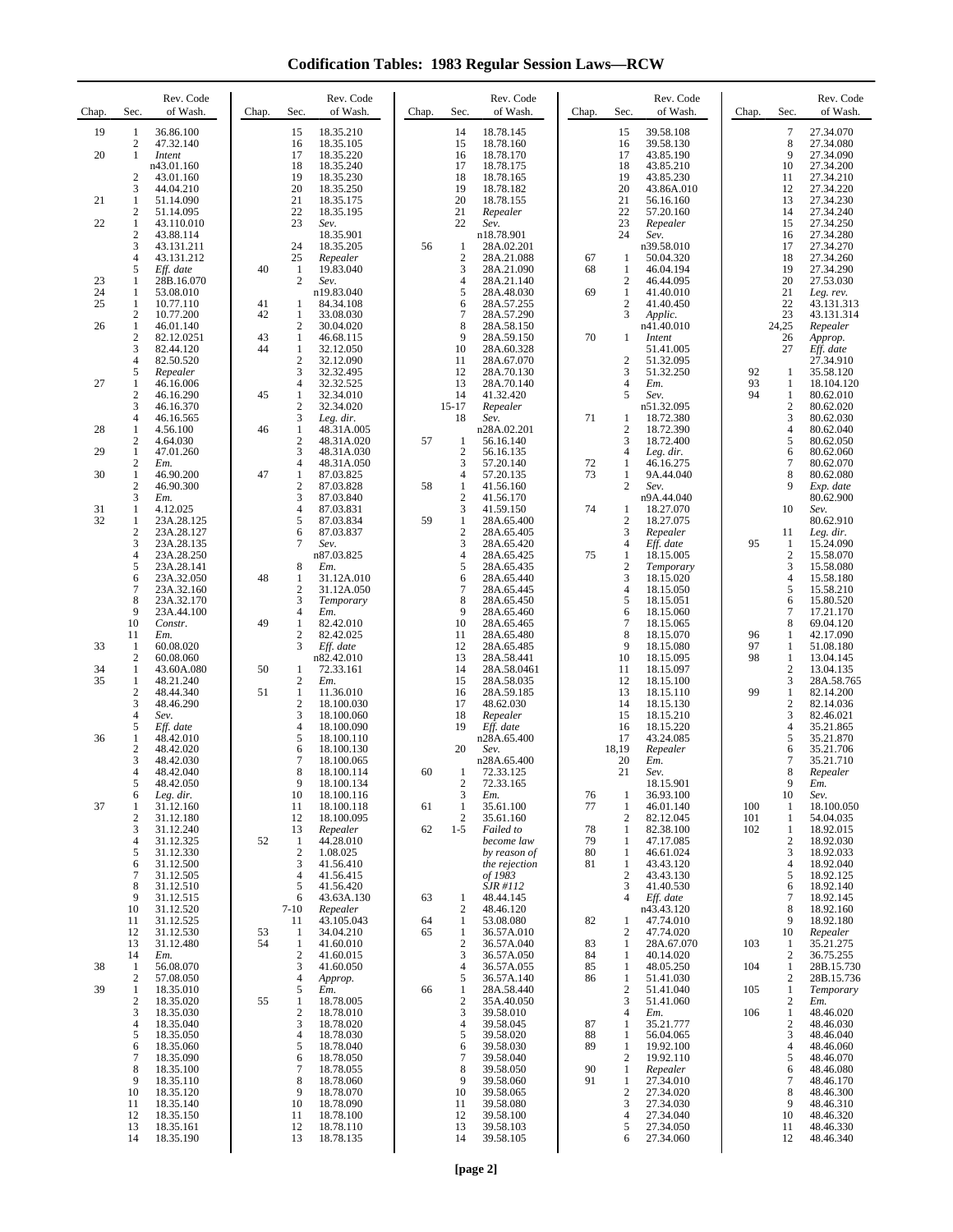**Codification Tables: 1983 Regular Session Laws—RCW**

| Chap.    | Sec.                             | Rev. Code<br>of Wash.    | Chap.    | Rev. Code<br>Sec.<br>of Wash.               | Chap.    | Sec.                                    | Rev. Code<br>of Wash.     | Chap.    | Sec.                           | Rev. Code<br>of Wash.   | Chap.      | Sec.                             | Rev. Code<br>of Wash.    |
|----------|----------------------------------|--------------------------|----------|---------------------------------------------|----------|-----------------------------------------|---------------------------|----------|--------------------------------|-------------------------|------------|----------------------------------|--------------------------|
| 19       | $\mathbf{1}$                     | 36.86.100                |          | 18.35.210<br>15                             |          | 14                                      | 18.78.145                 |          | 15                             | 39.58.108               |            | 7                                | 27.34.070                |
| 20       | $\overline{2}$<br>1              | 47.32.140<br>Intent      |          | 16<br>18.35.105<br>17<br>18.35.220          |          | 15<br>16                                | 18.78.160<br>18.78.170    |          | 16<br>17                       | 39.58.130<br>43.85.190  |            | 8<br>9                           | 27.34.080<br>27.34.090   |
|          | $\overline{2}$                   | n43.01.160<br>43.01.160  |          | 18<br>18.35.240<br>19<br>18.35.230          |          | 17<br>18                                | 18.78.175<br>18.78.165    |          | 18<br>19                       | 43.85.210<br>43.85.230  |            | 10<br>11                         | 27.34.200<br>27.34.210   |
| 21       | 3<br>1                           | 44.04.210                |          | 20<br>18.35.250<br>21                       |          | 19<br>20                                | 18.78.182<br>18.78.155    |          | 20<br>21                       | 43.86A.010              |            | 12<br>13                         | 27.34.220<br>27.34.230   |
|          | 2                                | 51.14.090<br>51.14.095   |          | 18.35.175<br>22<br>18.35.195                |          | 21                                      | Repealer                  |          | 22                             | 56.16.160<br>57.20.160  |            | 14                               | 27.34.240                |
| 22       | $\mathbf{1}$<br>2                | 43.110.010<br>43.88.114  |          | 23<br>Sev.<br>18.35.901                     |          | 22                                      | Sev.<br>n18.78.901        |          | 23<br>24                       | Repealer<br>Sev.        |            | 15<br>16                         | 27.34.250<br>27.34.280   |
|          | 3<br>4                           | 43.131.211<br>43.131.212 |          | 24<br>18.35.205<br>25                       | 56       | $\mathbf{1}$<br>$\overline{\mathbf{c}}$ | 28A.02.201<br>28A.21.088  | 67       |                                | n39.58.010<br>50.04.320 |            | 17<br>18                         | 27.34.270<br>27.34.260   |
|          | 5                                | Eff. date                | 40       | Repealer<br>1<br>19.83.040                  |          | 3                                       | 28A.21.090                | 68       | -1<br>1                        | 46.04.194               |            | 19                               | 27.34.290                |
| 23<br>24 | 1<br>1                           | 28B.16.070<br>53.08.010  |          | 2<br>Sev.<br>n19.83.040                     |          | $\overline{4}$<br>5                     | 28A.21.140<br>28A.48.030  | 69       | 2<br>1                         | 46.44.095<br>41.40.010  |            | 20<br>21                         | 27.53.030<br>Leg. rev.   |
| 25       | -1<br>$\overline{c}$             | 10.77.110<br>10.77.200   | 41<br>42 | 84.34.108<br>1<br>33.08.030<br>1            |          | 6<br>$\overline{7}$                     | 28A.57.255<br>28A.57.290  |          | $\overline{c}$<br>3            | 41.40.450<br>Applic.    |            | 22<br>23                         | 43.131.313<br>43.131.314 |
| 26       | $\mathbf{1}$                     | 46.01.140                |          | 2<br>30.04.020                              |          | 8                                       | 28A.58.150                |          |                                | n41.40.010              |            | 24,25                            | Repealer                 |
|          | 2<br>3                           | 82.12.0251<br>82.44.120  | 43<br>44 | 46.68.115<br>1<br>$\mathbf{1}$<br>32.12.050 |          | 9<br>10                                 | 28A.59.150<br>28A.60.328  | 70       | 1                              | Intent<br>51.41.005     |            | 26<br>27                         | Approp.<br>Eff. date     |
|          | 4<br>5                           | 82.50.520<br>Repealer    |          | 2<br>32.12.090<br>3<br>32.32.495            |          | 11<br>12                                | 28A.67.070<br>28A.70.130  |          | $\overline{2}$<br>3            | 51.32.095<br>51.32.250  | 92         | 1                                | 27.34.910<br>35.58.120   |
| 27       | 1                                | 46.16.006                |          | 4<br>32.32.525                              |          | 13                                      | 28A.70.140                |          | 4                              | Em.                     | 93<br>94   | 1                                | 18.104.120               |
|          | $\overline{\mathbf{c}}$<br>3     | 46.16.290<br>46.16.370   | 45       | 1<br>32.34.010<br>2<br>32.34.020            |          | 14<br>$15-17$                           | 41.32.420<br>Repealer     |          | 5                              | Sev.<br>n51.32.095      |            | 1<br>2                           | 80.62.010<br>80.62.020   |
| 28       | 4<br>1                           | 46.16.565<br>4.56.100    | 46       | 3<br>Leg. dir.<br>1<br>48.31A.005           |          | 18                                      | Sev.<br>n28A.02.201       | 71       | 1<br>$\overline{2}$            | 18.72.380<br>18.72.390  |            | 3<br>4                           | 80.62.030<br>80.62.040   |
| 29       | 2<br>$\mathbf{1}$                | 4.64.030<br>47.01.260    |          | 2<br>48.31A.020<br>3<br>48.31A.030          | 57       | 1<br>$\overline{2}$                     | 56.16.140<br>56.16.135    |          | 3<br>4                         | 18.72.400               |            | 5<br>6                           | 80.62.050<br>80.62.060   |
|          | $\boldsymbol{2}$                 | Em.                      |          | 4<br>48.31A.050                             |          | 3                                       | 57.20.140                 | 72       | 1                              | Leg. dir.<br>46.16.275  |            | 7                                | 80.62.070                |
| 30       | $\mathbf{1}$<br>$\boldsymbol{2}$ | 46.90.200<br>46.90.300   | 47       | 1<br>87.03.825<br>2<br>87.03.828            | 58       | $\overline{4}$<br>$\mathbf{1}$          | 57.20.135<br>41.56.160    | 73       | 1<br>2                         | 9A.44.040<br>Sev.       |            | 8<br>9                           | 80.62.080<br>Exp. date   |
| 31       | 3<br>1                           | Em.<br>4.12.025          |          | 3<br>87.03.840<br>4<br>87.03.831            |          | $\overline{2}$<br>3                     | 41.56.170<br>41.59.150    | 74       | 1                              | n9A.44.040<br>18.27.070 |            | 10                               | 80.62.900<br>Sev.        |
| 32       | 1                                | 23A.28.125               |          | 5<br>87.03.834                              | 59       | $\mathbf{1}$                            | 28A.65.400                |          | $\overline{2}$                 | 18.27.075               |            |                                  | 80.62.910                |
|          | $\boldsymbol{2}$<br>3            | 23A.28.127<br>23A.28.135 |          | 6<br>87.03.837<br>7<br>Sev.                 |          | $\sqrt{2}$<br>3                         | 28A.65.405<br>28A.65.420  |          | 3<br>4                         | Repealer<br>Eff. date   | 95         | 11<br>1                          | Leg. dir.<br>15.24.090   |
|          | 4<br>5                           | 23A.28.250<br>23A.28.141 |          | n87.03.825<br>8<br>Em.                      |          | $\overline{4}$<br>5                     | 28A.65.425<br>28A.65.435  | 75       | 1<br>2                         | 18.15.005<br>Temporary  |            | $\overline{2}$<br>3              | 15.58.070<br>15.58.080   |
|          | 6                                | 23A.32.050               | 48       | 1<br>31.12A.010                             |          | 6                                       | 28A.65.440                |          | 3                              | 18.15.020               |            | 4                                | 15.58.180                |
|          | 7<br>8                           | 23A.32.160<br>23A.32.170 |          | 2<br>31.12A.050<br>3<br>Temporary           |          | $\overline{7}$<br>8                     | 28A.65.445<br>28A.65.450  |          | 4<br>5                         | 18.15.050<br>18.15.051  |            | 5<br>6                           | 15.58.210<br>15.80.520   |
|          | 9<br>10                          | 23A.44.100<br>Constr.    | 49       | 4<br>Em.<br>82.42.010<br>1                  |          | 9<br>10                                 | 28A.65.460<br>28A.65.465  |          | 6<br>7                         | 18.15.060<br>18.15.065  |            | 7<br>8                           | 17.21.170<br>69.04.120   |
|          | 11                               | Em.                      |          | 2<br>82.42.025                              |          | 11                                      | 28A.65.480                |          | 8                              | 18.15.070               | 96         | 1                                | 42.17.090                |
| 33       | -1<br>$\overline{2}$             | 60.08.020<br>60.08.060   |          | 3<br>Eff. date<br>n82.42.010                |          | 12<br>13                                | 28A.65.485<br>28A.58.441  |          | 9<br>10                        | 18.15.080<br>18.15.095  | 97<br>98   | 1<br>1                           | 51.08.180<br>13.04.145   |
| 34<br>35 | 1<br>$\mathbf{1}$                | 43.60A.080<br>48.21.240  | 50       | 72.33.161<br>1<br>2<br>Em.                  |          | 14<br>15                                | 28A.58.0461<br>28A.58.035 |          | 11<br>12                       | 18.15.097<br>18.15.100  |            | 2<br>3                           | 13.04.135<br>28A.58.765  |
|          | $\boldsymbol{2}$<br>3            | 48.44.340<br>48.46.290   | 51       | 1<br>11.36.010<br>2<br>18.100.030           |          | 16<br>17                                | 28A.59.185<br>48.62.030   |          | 13<br>14                       | 18.15.110<br>18.15.130  | 99         | 1<br>2                           | 82.14.200<br>82.14.036   |
|          | 4                                | Sev.                     |          | 3<br>18.100.060                             |          | 18                                      | Repealer                  |          | 15                             | 18.15.210               |            | 3                                | 82.46.021                |
| 36       | 5<br>1                           | Eff. date<br>48.42.010   |          | 4<br>18.100.090<br>5<br>18.100.110          |          | 19                                      | Eff. date<br>n28A.65.400  |          | 16<br>17                       | 18.15.220<br>43.24.085  |            | 4<br>5                           | 35.21.865<br>35.21.870   |
|          | 2<br>3                           | 48.42.020<br>48.42.030   |          | 6<br>18.100.130<br>7<br>18.100.065          |          | 20                                      | Sev.<br>n28A.65.400       |          | 18,19<br>20                    | Repealer<br>Em.         |            | 6<br>7                           | 35.21.706<br>35.21.710   |
|          | 4                                | 48.42.040                |          | 8<br>18.100.114                             | 60       | 1                                       | 72.33.125                 |          | 21                             | Sev.                    |            | 8                                | Repealer                 |
|          | 5<br>6                           | 48.42.050<br>Leg. dir.   |          | 9<br>18.100.134<br>10<br>18.100.116         |          | 2<br>3                                  | 72.33.165<br>Em.          | 76       | $\mathbf{1}$                   | 18.15.901<br>36.93.100  |            | 9<br>10                          | Em.<br>Sev.              |
| 37       | 1<br>2                           | 31.12.160<br>31.12.180   |          | 18.100.118<br>11<br>12<br>18.100.095        | 61       | $\mathbf{1}$<br>$\overline{2}$          | 35.61.100<br>35.61.160    | 77       | 1<br>$\overline{c}$            | 46.01.140<br>82.12.045  | 100<br>101 | 1<br>1                           | 18.100.050<br>54.04.035  |
|          | 3<br>4                           | 31.12.240<br>31.12.325   | 52       | 13<br>Repealer<br>44.28.010<br>1            | 62       | $1 - 5$                                 | Failed to<br>become law   | 78<br>79 | $\mathbf{1}$<br>1              | 82.38.100               | 102        | 1<br>2                           | 18.92.015<br>18.92.030   |
|          | 5                                | 31.12.330                |          | $\sqrt{2}$<br>1.08.025                      |          |                                         | by reason of              | 80       | 1                              | 47.17.085<br>46.61.024  |            | 3                                | 18.92.033                |
|          | 6<br>7                           | 31.12.500<br>31.12.505   |          | 3<br>41.56.410<br>41.56.415<br>4            |          |                                         | the rejection<br>of 1983  | 81       | 1<br>$\overline{2}$            | 43.43.120<br>43.43.130  |            | 4<br>5                           | 18.92.040<br>18.92.125   |
|          | 8<br>9                           | 31.12.510<br>31.12.515   |          | 5<br>41.56.420<br>43.63A.130<br>6           | 63       | 1                                       | SJR #112<br>48.44.145     |          | 3<br>4                         | 41.40.530<br>Eff. date  |            | 6<br>$\overline{7}$              | 18.92.140<br>18.92.145   |
|          | 10                               | 31.12.520                |          | $7-10$<br>Repealer                          |          | $\overline{c}$                          | 48.46.120                 |          |                                | n43.43.120              |            | 8                                | 18.92.160                |
|          | 11<br>12                         | 31.12.525<br>31.12.530   | 53       | 43.105.043<br>11<br>34.04.210<br>1          | 64<br>65 | $\mathbf{1}$<br>$\mathbf{1}$            | 53.08.080<br>36.57A.010   | 82       | 1<br>2                         | 47.74.010<br>47.74.020  |            | 9<br>10                          | 18.92.180<br>Repealer    |
|          | 13<br>14                         | 31.12.480<br>Em.         | 54       | 1<br>41.60.010<br>2<br>41.60.015            |          | $\sqrt{2}$<br>3                         | 36.57A.040<br>36.57A.050  | 83<br>84 | 1<br>1                         | 28A.67.070<br>40.14.020 | 103        | 1<br>$\boldsymbol{2}$            | 35.21.275<br>36.75.255   |
| 38       | -1                               | 56.08.070<br>57.08.050   |          | 3<br>41.60.050<br>4                         |          | $\overline{4}$<br>$\sqrt{5}$            | 36.57A.055<br>36.57A.140  | 85<br>86 | 1                              | 48.05.250<br>51.41.030  | 104        | 1<br>$\overline{c}$              | 28B.15.730               |
| 39       | $\overline{\mathbf{c}}$<br>1     | 18.35.010                |          | Approp.<br>5<br>Em.                         | 66       | $\mathbf{1}$                            | 28A.58.440                |          | $\mathbf{1}$<br>$\overline{c}$ | 51.41.040               | 105        | 1                                | 28B.15.736<br>Temporary  |
|          | $\mathbf{2}$<br>3                | 18.35.020<br>18.35.030   | 55       | 18.78.005<br>1<br>2<br>18.78.010            |          | $\overline{c}$<br>3                     | 35A.40.050<br>39.58.010   |          | 3<br>4                         | 51.41.060<br>Em.        | 106        | $\boldsymbol{2}$<br>$\mathbf{1}$ | Em.<br>48.46.020         |
|          | $\overline{4}$<br>5              | 18.35.040<br>18.35.050   |          | 3<br>18.78.020<br>4<br>18.78.030            |          | $\overline{4}$<br>5                     | 39.58.045<br>39.58.020    | 87<br>88 | 1<br>-1                        | 35.21.777<br>56.04.065  |            | 2<br>3                           | 48.46.030<br>48.46.040   |
|          | 6                                | 18.35.060                |          | 5<br>18.78.040                              |          | 6                                       | 39.58.030                 | 89       | 1                              | 19.92.100               |            | 4                                | 48.46.060                |
|          | 7<br>8                           | 18.35.090<br>18.35.100   |          | 18.78.050<br>6<br>$\tau$<br>18.78.055       |          | $\tau$<br>8                             | 39.58.040<br>39.58.050    | 90       | 2<br>1                         | 19.92.110<br>Repealer   |            | 5<br>6                           | 48.46.070<br>48.46.080   |
|          | 9<br>10                          | 18.35.110<br>18.35.120   |          | 8<br>18.78.060<br>9<br>18.78.070            |          | 9<br>10                                 | 39.58.060<br>39.58.065    | 91       | 1<br>$\overline{c}$            | 27.34.010<br>27.34.020  |            | 7<br>8                           | 48.46.170<br>48.46.300   |
|          | 11                               | 18.35.140                |          | 10<br>18.78.090                             |          | 11                                      | 39.58.080                 |          | 3                              | 27.34.030               |            | 9<br>10                          | 48.46.310                |
|          | 12<br>13                         | 18.35.150<br>18.35.161   |          | 11<br>18.78.100<br>18.78.110<br>12          |          | 12<br>13                                | 39.58.100<br>39.58.103    |          | 4<br>5                         | 27.34.040<br>27.34.050  |            | 11                               | 48.46.320<br>48.46.330   |
|          | 14                               | 18.35.190                |          | 13<br>18.78.135                             |          | 14                                      | 39.58.105                 |          | 6                              | 27.34.060               |            | 12                               | 48.46.340                |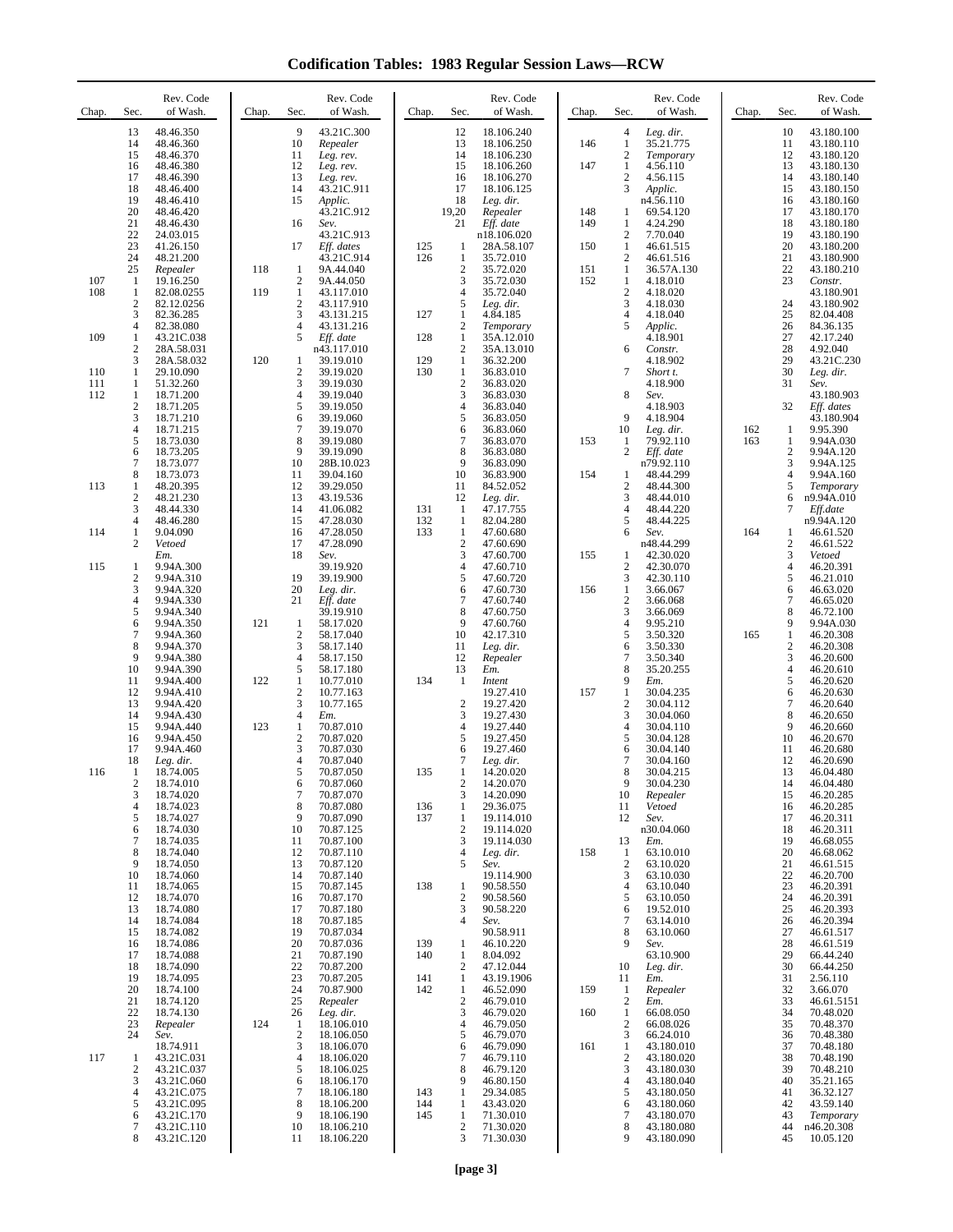**Codification Tables: 1983 Regular Session Laws—RCW**

| Chap.      | Sec.                           | Rev. Code<br>of Wash.    | Chap. | Sec.                         | Rev. Code<br>of Wash.    | Chap.      | Sec.                                    | Rev. Code<br>of Wash.     | Chap.      | Rev. Code<br>of Wash.<br>Sec.                     | Chap.      | Sec.                                    | Rev. Code<br>of Wash.    |
|------------|--------------------------------|--------------------------|-------|------------------------------|--------------------------|------------|-----------------------------------------|---------------------------|------------|---------------------------------------------------|------------|-----------------------------------------|--------------------------|
|            | 13<br>14                       | 48.46.350<br>48.46.360   |       | 9<br>10                      | 43.21C.300<br>Repealer   |            | 12<br>13                                | 18.106.240<br>18.106.250  | 146        | 4<br>Leg. dir.<br>1<br>35.21.775                  |            | 10<br>11                                | 43.180.100<br>43.180.110 |
|            | 15                             | 48.46.370                |       | 11                           | Leg. rev.                |            | 14                                      | 18.106.230                |            | $\overline{c}$<br>Temporary                       |            | 12                                      | 43.180.120               |
|            | 16<br>17                       | 48.46.380<br>48.46.390   |       | 12<br>13                     | Leg. rev.<br>Leg. rev.   |            | 15<br>16                                | 18.106.260<br>18.106.270  | 147        | 1<br>4.56.110<br>$\overline{c}$<br>4.56.115       |            | 13<br>14                                | 43.180.130<br>43.180.140 |
|            | 18<br>19                       | 48.46.400<br>48.46.410   |       | 14<br>15                     | 43.21C.911<br>Applic.    |            | 17<br>18                                | 18.106.125<br>Leg. dir.   |            | 3<br>Applic.<br>n4.56.110                         |            | 15<br>16                                | 43.180.150<br>43.180.160 |
|            | 20<br>21                       | 48.46.420<br>48.46.430   |       | 16                           | 43.21C.912<br>Sev.       |            | 19,20<br>21                             | Repealer<br>Eff. date     | 148<br>149 | 1<br>69.54.120<br>4.24.290<br>1                   |            | 17<br>18                                | 43.180.170<br>43.180.180 |
|            | 22<br>23                       | 24.03.015<br>41.26.150   |       | 17                           | 43.21C.913<br>Eff. dates | 125        | 1                                       | n18.106.020<br>28A.58.107 | 150        | $\overline{c}$<br>7.70.040<br>1<br>46.61.515      |            | 19<br>20                                | 43.180.190<br>43.180.200 |
|            | 24<br>25                       | 48.21.200<br>Repealer    | 118   | 1                            | 43.21C.914<br>9A.44.040  | 126        | 1<br>$\overline{2}$                     | 35.72.010<br>35.72.020    | 151        | 2<br>46.61.516<br>1<br>36.57A.130                 |            | 21<br>22                                | 43.180.900<br>43.180.210 |
| 107<br>108 | 1<br>1                         | 19.16.250<br>82.08.0255  | 119   | $\overline{\mathbf{c}}$<br>1 | 9A.44.050<br>43.117.010  |            | 3<br>$\overline{4}$                     | 35.72.030<br>35.72.040    | 152        | 1<br>4.18.010<br>$\overline{c}$<br>4.18.020       |            | 23                                      | Constr.<br>43.180.901    |
|            | $\boldsymbol{2}$<br>3          | 82.12.0256<br>82.36.285  |       | $\overline{c}$<br>3          | 43.117.910<br>43.131.215 | 127        | 5<br>1                                  | Leg. dir.<br>4.84.185     |            | 3<br>4.18.030<br>4<br>4.18.040                    |            | 24<br>25                                | 43.180.902<br>82.04.408  |
| 109        | 4<br>1                         | 82.38.080<br>43.21C.038  |       | $\overline{4}$<br>5          | 43.131.216<br>Eff. date  | 128        | $\overline{\mathbf{c}}$<br>$\mathbf{1}$ | Temporary<br>35A.12.010   |            | Applic.<br>5<br>4.18.901                          |            | 26<br>27                                | 84.36.135<br>42.17.240   |
|            | 2<br>3                         | 28A.58.031<br>28A.58.032 | 120   | 1                            | n43.117.010<br>39.19.010 | 129        | $\mathbf{2}$<br>1                       | 35A.13.010<br>36.32.200   |            | 6<br>Constr.<br>4.18.902                          |            | 28<br>29                                | 4.92.040<br>43.21C.230   |
| 110        | 1                              | 29.10.090                |       | 2<br>3                       | 39.19.020                | 130        | 1<br>$\overline{c}$                     | 36.83.010                 |            | 7<br>Short t.                                     |            | 30                                      | Leg. dir.                |
| 111<br>112 | 1<br>1                         | 51.32.260<br>18.71.200   |       | 4                            | 39.19.030<br>39.19.040   |            | 3                                       | 36.83.020<br>36.83.030    |            | 4.18.900<br>8<br>Sev.                             |            | 31                                      | Sev.<br>43.180.903       |
|            | $\overline{c}$<br>3            | 18.71.205<br>18.71.210   |       | 5<br>6                       | 39.19.050<br>39.19.060   |            | $\overline{4}$<br>5                     | 36.83.040<br>36.83.050    |            | 4.18.903<br>9<br>4.18.904                         |            | 32                                      | Eff. dates<br>43.180.904 |
|            | 4<br>5                         | 18.71.215<br>18.73.030   |       | $\overline{7}$<br>8          | 39.19.070<br>39.19.080   |            | 6<br>7                                  | 36.83.060<br>36.83.070    | 153        | 10<br>Leg. dir.<br>79.92.110<br>1                 | 162<br>163 | 1<br>1                                  | 9.95.390<br>9.94A.030    |
|            | 6<br>$\tau$                    | 18.73.205<br>18.73.077   |       | 9<br>10                      | 39.19.090<br>28B.10.023  |            | 8<br>9                                  | 36.83.080<br>36.83.090    |            | 2<br>Eff. date<br>n79.92.110                      |            | $\overline{c}$<br>3                     | 9.94A.120<br>9.94A.125   |
| 113        | 8<br>1                         | 18.73.073<br>48.20.395   |       | 11<br>12                     | 39.04.160<br>39.29.050   |            | 10<br>11                                | 36.83.900<br>84.52.052    | 154        | 1<br>48.44.299<br>2<br>48.44.300                  |            | 4<br>5                                  | 9.94A.160<br>Temporary   |
|            | $\boldsymbol{2}$<br>3          | 48.21.230<br>48.44.330   |       | 13<br>14                     | 43.19.536<br>41.06.082   | 131        | 12<br>1                                 | Leg. dir.<br>47.17.755    |            | 3<br>48.44.010<br>48.44.220<br>4                  |            | 6<br>7                                  | n9.94A.010<br>Eff.date   |
| 114        | 4<br>1                         | 48.46.280<br>9.04.090    |       | 15<br>16                     | 47.28.030<br>47.28.050   | 132<br>133 | 1<br>1                                  | 82.04.280<br>47.60.680    |            | 5<br>48.44.225<br>6<br>Sev.                       | 164        | 1                                       | n9.94A.120<br>46.61.520  |
|            | $\overline{c}$                 | Vetoed<br>Em.            |       | 17<br>18                     | 47.28.090<br>Sev.        |            | $\mathbf{2}$<br>3                       | 47.60.690<br>47.60.700    | 155        | n48.44.299<br>42.30.020<br>1                      |            | $\overline{c}$<br>3                     | 46.61.522<br>Vetoed      |
| 115        | 1<br>$\mathbf{2}$              | 9.94A.300<br>9.94A.310   |       | 19                           | 39.19.920<br>39.19.900   |            | 4<br>5                                  | 47.60.710<br>47.60.720    |            | 2<br>42.30.070<br>3<br>42.30.110                  |            | $\overline{4}$<br>5                     | 46.20.391<br>46.21.010   |
|            | 3<br>4                         | 9.94A.320<br>9.94A.330   |       | 20<br>21                     | Leg. dir.<br>Eff. date   |            | 6<br>7                                  | 47.60.730<br>47.60.740    | 156        | 1<br>3.66.067<br>$\overline{2}$<br>3.66.068       |            | 6<br>$\tau$                             | 46.63.020<br>46.65.020   |
|            | 5<br>6                         | 9.94A.340<br>9.94A.350   | 121   | 1                            | 39.19.910<br>58.17.020   |            | 8<br>9                                  | 47.60.750<br>47.60.760    |            | 3<br>3.66.069<br>9.95.210<br>4                    |            | 8<br>9                                  | 46.72.100<br>9.94A.030   |
|            | 7<br>8                         | 9.94A.360<br>9.94A.370   |       | $\overline{2}$<br>3          | 58.17.040<br>58.17.140   |            | 10<br>11                                | 42.17.310<br>Leg. dir.    |            | 5<br>3.50.320<br>3.50.330<br>6                    | 165        | $\mathbf{1}$<br>$\overline{\mathbf{c}}$ | 46.20.308<br>46.20.308   |
|            | 9<br>10                        | 9.94A.380<br>9.94A.390   |       | $\overline{4}$<br>5          | 58.17.150<br>58.17.180   |            | 12<br>13                                | Repealer<br>Em.           |            | 7<br>3.50.340<br>8<br>35.20.255                   |            | 3<br>$\overline{4}$                     | 46.20.600<br>46.20.610   |
|            | 11<br>12                       | 9.94A.400<br>9.94A.410   | 122   | 1<br>$\overline{2}$          | 10.77.010<br>10.77.163   | 134        | -1                                      | Intent<br>19.27.410       | 157        | 9<br>Em.<br>1<br>30.04.235                        |            | 5<br>6                                  | 46.20.620<br>46.20.630   |
|            | 13<br>14                       | 9.94A.420<br>9.94A.430   |       | 3<br>$\overline{4}$          | 10.77.165<br>Em.         |            | $\overline{2}$<br>3                     | 19.27.420<br>19.27.430    |            | $\overline{2}$<br>30.04.112<br>3<br>30.04.060     |            | $\tau$<br>8                             | 46.20.640<br>46.20.650   |
|            | 15<br>16                       | 9.94A.440<br>9.94A.450   | 123   | 1<br>$\overline{c}$          | 70.87.010<br>70.87.020   |            | 4<br>5                                  | 19.27.440<br>19.27.450    |            | 30.04.110<br>4<br>5<br>30.04.128                  |            | 9<br>10                                 | 46.20.660<br>46.20.670   |
|            | 17<br>18                       | 9.94A.460<br>Leg. dir.   |       | 3<br>$\overline{4}$          | 70.87.030<br>70.87.040   |            | 6<br>7                                  | 19.27.460<br>Leg. dir.    |            | 30.04.140<br>6<br>$\overline{7}$<br>30.04.160     |            | 11<br>12                                | 46.20.680<br>46.20.690   |
| 116        | 1<br>$\overline{2}$            | 18.74.005<br>18.74.010   |       | 6                            | 70.87.050<br>70.87.060   | 135        | $\overline{2}$                          | 14.20.020<br>14.20.070    |            | 8<br>30.04.215<br>9<br>30.04.230                  |            | 13<br>14                                | 46.04.480<br>46.04.480   |
|            | 3<br>4                         | 18.74.020<br>18.74.023   |       | $\overline{7}$<br>8          | 70.87.070<br>70.87.080   | 136        | 3<br>1                                  | 14.20.090<br>29.36.075    |            | 10<br>Repealer<br>Vetoed<br>11                    |            | 15<br>16                                | 46.20.285<br>46.20.285   |
|            | 5                              | 18.74.027<br>18.74.030   |       | 9<br>10                      | 70.87.090<br>70.87.125   | 137        | 1<br>$\mathbf{2}$                       | 19.114.010<br>19.114.020  |            | 12<br>Sev.<br>n30.04.060                          |            | 17<br>18                                | 46.20.311<br>46.20.311   |
|            | 6<br>7                         | 18.74.035                |       | 11                           | 70.87.100                |            | 3                                       | 19.114.030                |            | Em.<br>13                                         |            | 19                                      | 46.68.055                |
|            | 8<br>9                         | 18.74.040<br>18.74.050   |       | 12<br>13                     | 70.87.110<br>70.87.120   |            | 4<br>5                                  | Leg. dir.<br>Sev.         | 158        | 63.10.010<br>1<br>$\boldsymbol{2}$<br>63.10.020   |            | 20<br>21                                | 46.68.062<br>46.61.515   |
|            | 10<br>11                       | 18.74.060<br>18.74.065   |       | 14<br>15                     | 70.87.140<br>70.87.145   | 138        | 1                                       | 19.114.900<br>90.58.550   |            | 3<br>63.10.030<br>63.10.040<br>4                  |            | 22<br>23                                | 46.20.700<br>46.20.391   |
|            | 12<br>13                       | 18.74.070<br>18.74.080   |       | 16<br>17                     | 70.87.170<br>70.87.180   |            | $\boldsymbol{2}$<br>3                   | 90.58.560<br>90.58.220    |            | 5<br>63.10.050<br>19.52.010<br>6                  |            | 24<br>25                                | 46.20.391<br>46.20.393   |
|            | 14<br>15                       | 18.74.084<br>18.74.082   |       | 18<br>19                     | 70.87.185<br>70.87.034   |            | $\overline{4}$                          | Sev.<br>90.58.911         |            | 7<br>63.14.010<br>63.10.060<br>8                  |            | 26<br>27                                | 46.20.394<br>46.61.517   |
|            | 16<br>17                       | 18.74.086<br>18.74.088   |       | 20<br>21                     | 70.87.036<br>70.87.190   | 139<br>140 | 1<br>1                                  | 46.10.220<br>8.04.092     |            | 9<br>Sev.<br>63.10.900                            |            | 28<br>29                                | 46.61.519<br>66.44.240   |
|            | 18<br>19                       | 18.74.090<br>18.74.095   |       | 22<br>23                     | 70.87.200<br>70.87.205   | 141        | $\mathbf{2}$<br>$\mathbf{1}$            | 47.12.044<br>43.19.1906   |            | 10<br>Leg. dir.<br>11<br>Em.                      |            | 30<br>31                                | 66.44.250<br>2.56.110    |
|            | 20<br>21                       | 18.74.100<br>18.74.120   |       | 24<br>25                     | 70.87.900<br>Repealer    | 142        | 1<br>$\mathbf{2}$                       | 46.52.090<br>46.79.010    | 159        | $\mathbf{1}$<br>Repealer<br>$\overline{c}$<br>Em. |            | 32<br>33                                | 3.66.070<br>46.61.5151   |
|            | 22<br>23                       | 18.74.130<br>Repealer    | 124   | 26<br>-1                     | Leg. dir.<br>18.106.010  |            | 3<br>4                                  | 46.79.020<br>46.79.050    | 160        | 66.08.050<br>1<br>2<br>66.08.026                  |            | 34<br>35                                | 70.48.020<br>70.48.370   |
|            | 24                             | Sev.<br>18.74.911        |       | $\overline{c}$<br>3          | 18.106.050<br>18.106.070 |            | 5<br>6                                  | 46.79.070<br>46.79.090    | 161        | 3<br>66.24.010<br>43.180.010<br>1                 |            | 36<br>37                                | 70.48.380<br>70.48.180   |
| 117        | $\mathbf{1}$<br>$\overline{2}$ | 43.21C.031<br>43.21C.037 |       | 4<br>5                       | 18.106.020<br>18.106.025 |            | 7<br>8                                  | 46.79.110<br>46.79.120    |            | 43.180.020<br>2<br>3<br>43.180.030                |            | 38<br>39                                | 70.48.190<br>70.48.210   |
|            | 3<br>4                         | 43.21C.060<br>43.21C.075 |       | 6<br>$\overline{7}$          | 18.106.170<br>18.106.180 | 143        | 9<br>1                                  | 46.80.150<br>29.34.085    |            | 43.180.040<br>4<br>5<br>43.180.050                |            | 40<br>41                                | 35.21.165<br>36.32.127   |
|            | 5<br>6                         | 43.21C.095<br>43.21C.170 |       | 8<br>9                       | 18.106.200<br>18.106.190 | 144<br>145 | 1<br>1                                  | 43.43.020<br>71.30.010    |            | 43.180.060<br>6<br>43.180.070<br>7                |            | 42<br>43                                | 43.59.140<br>Temporary   |
|            | 7<br>8                         | 43.21C.110<br>43.21C.120 |       | 10<br>11                     | 18.106.210<br>18.106.220 |            | $\boldsymbol{2}$<br>3                   | 71.30.020<br>71.30.030    |            | 8<br>43.180.080<br>43.180.090<br>9                |            | 44<br>45                                | n46.20.308<br>10.05.120  |
|            |                                |                          |       |                              |                          |            |                                         |                           |            |                                                   |            |                                         |                          |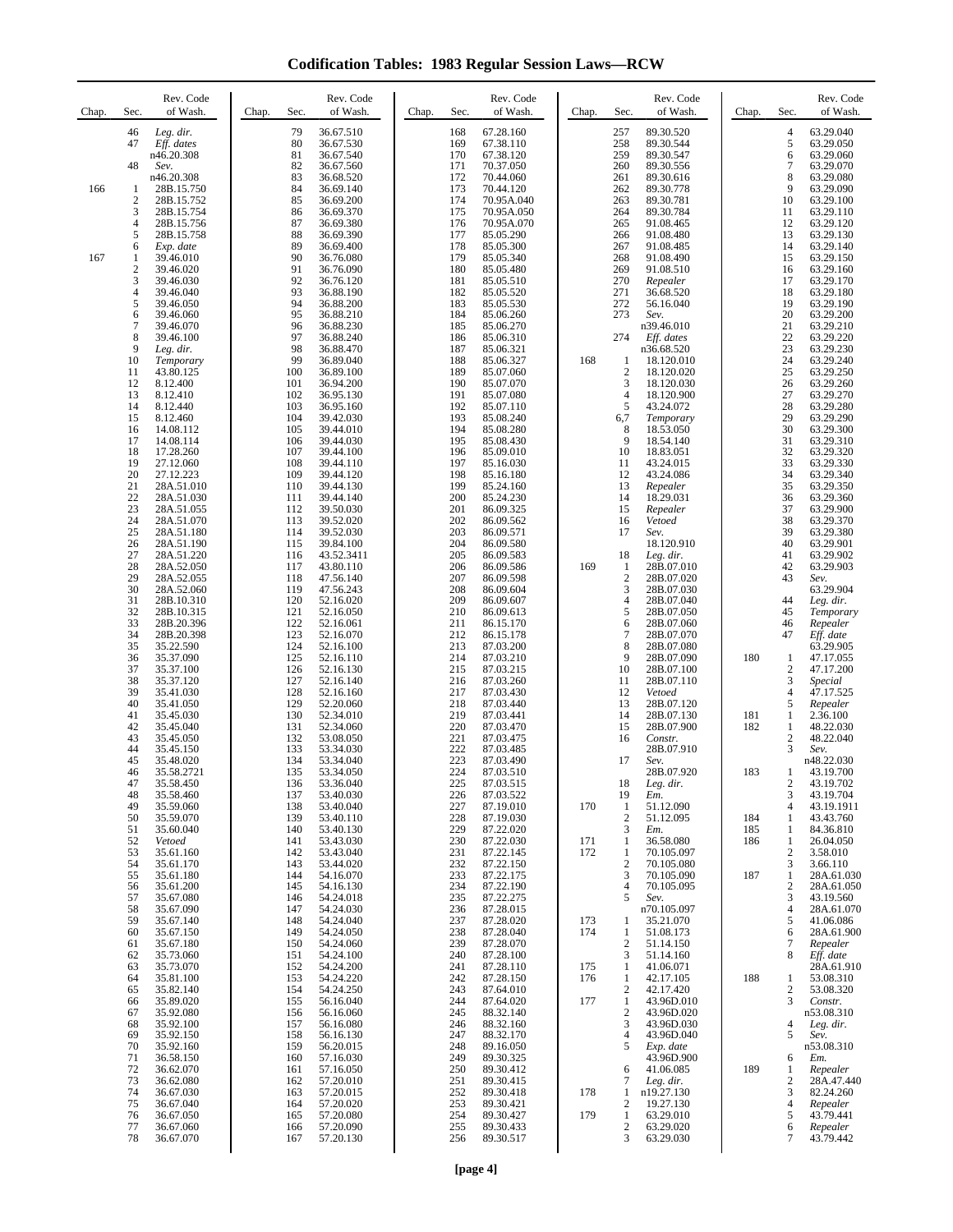**Codification Tables: 1983 Regular Session Laws—RCW**

| Chap. | Sec.                                              | Rev. Code<br>of Wash.                                                                                      | Chap. | Sec.                                                 | Rev. Code<br>of Wash.                                                                                 | Chap. | Sec.                                                 | Rev. Code<br>of Wash.                                                                                  | Chap.             | Sec.                                                                      | Rev. Code<br>of Wash.                                                                                   | Chap.                    | Sec.                                                                                     | Rev. Code<br>of Wash.                                                                                  |
|-------|---------------------------------------------------|------------------------------------------------------------------------------------------------------------|-------|------------------------------------------------------|-------------------------------------------------------------------------------------------------------|-------|------------------------------------------------------|--------------------------------------------------------------------------------------------------------|-------------------|---------------------------------------------------------------------------|---------------------------------------------------------------------------------------------------------|--------------------------|------------------------------------------------------------------------------------------|--------------------------------------------------------------------------------------------------------|
| 166   | 46<br>47<br>48<br>1<br>2<br>3                     | Leg. dir.<br>Eff. dates<br>n46.20.308<br>Sev.<br>n46.20.308<br>28B.15.750<br>28B.15.752<br>28B.15.754      |       | 79<br>80<br>81<br>82<br>83<br>84<br>85<br>86         | 36.67.510<br>36.67.530<br>36.67.540<br>36.67.560<br>36.68.520<br>36.69.140<br>36.69.200<br>36.69.370  |       | 168<br>169<br>170<br>171<br>172<br>173<br>174<br>175 | 67.28.160<br>67.38.110<br>67.38.120<br>70.37.050<br>70.44.060<br>70.44.120<br>70.95A.040<br>70.95A.050 |                   | 257<br>258<br>259<br>260<br>261<br>262<br>263<br>264                      | 89.30.520<br>89.30.544<br>89.30.547<br>89.30.556<br>89.30.616<br>89.30.778<br>89.30.781<br>89.30.784    |                          | $\overline{4}$<br>5<br>6<br>7<br>8<br>9<br>10<br>11                                      | 63.29.040<br>63.29.050<br>63.29.060<br>63.29.070<br>63.29.080<br>63.29.090<br>63.29.100<br>63.29.110   |
| 167   | 4<br>5<br>6<br>1<br>$\overline{2}$<br>3<br>4<br>5 | 28B.15.756<br>28B.15.758<br>Exp. date<br>39.46.010<br>39.46.020<br>39.46.030<br>39.46.040<br>39.46.050     |       | 87<br>88<br>89<br>90<br>91<br>92<br>93<br>94         | 36.69.380<br>36.69.390<br>36.69.400<br>36.76.080<br>36.76.090<br>36.76.120<br>36.88.190<br>36.88.200  |       | 176<br>177<br>178<br>179<br>180<br>181<br>182<br>183 | 70.95A.070<br>85.05.290<br>85.05.300<br>85.05.340<br>85.05.480<br>85.05.510<br>85.05.520<br>85.05.530  |                   | 265<br>266<br>267<br>268<br>269<br>270<br>271<br>272                      | 91.08.465<br>91.08.480<br>91.08.485<br>91.08.490<br>91.08.510<br>Repealer<br>36.68.520<br>56.16.040     |                          | 12<br>13<br>14<br>15<br>16<br>17<br>18<br>19                                             | 63.29.120<br>63.29.130<br>63.29.140<br>63.29.150<br>63.29.160<br>63.29.170<br>63.29.180<br>63.29.190   |
|       | 6<br>7<br>8<br>9<br>10<br>11<br>12<br>13          | 39.46.060<br>39.46.070<br>39.46.100<br>Leg. dir.<br>Temporary<br>43.80.125<br>8.12.400<br>8.12.410         |       | 95<br>96<br>97<br>98<br>99<br>100<br>101<br>102      | 36.88.210<br>36.88.230<br>36.88.240<br>36.88.470<br>36.89.040<br>36.89.100<br>36.94.200<br>36.95.130  |       | 184<br>185<br>186<br>187<br>188<br>189<br>190<br>191 | 85.06.260<br>85.06.270<br>85.06.310<br>85.06.321<br>85.06.327<br>85.07.060<br>85.07.070<br>85.07.080   | 168               | 273<br>274<br>1<br>$\overline{2}$<br>3<br>$\overline{4}$                  | Sev.<br>n39.46.010<br>Eff. dates<br>n36.68.520<br>18.120.010<br>18.120.020<br>18.120.030<br>18.120.900  |                          | 20<br>21<br>$22\,$<br>23<br>24<br>25<br>26<br>27                                         | 63.29.200<br>63.29.210<br>63.29.220<br>63.29.230<br>63.29.240<br>63.29.250<br>63.29.260<br>63.29.270   |
|       | 14<br>15<br>16<br>17<br>18<br>19<br>20<br>21      | 8.12.440<br>8.12.460<br>14.08.112<br>14.08.114<br>17.28.260<br>27.12.060<br>27.12.223<br>28A.51.010        |       | 103<br>104<br>105<br>106<br>107<br>108<br>109<br>110 | 36.95.160<br>39.42.030<br>39.44.010<br>39.44.030<br>39.44.100<br>39.44.110<br>39.44.120<br>39.44.130  |       | 192<br>193<br>194<br>195<br>196<br>197<br>198<br>199 | 85.07.110<br>85.08.240<br>85.08.280<br>85.08.430<br>85.09.010<br>85.16.030<br>85.16.180<br>85.24.160   |                   | 5<br>6,7<br>8<br>9<br>10<br>11<br>12<br>13                                | 43.24.072<br>Temporary<br>18.53.050<br>18.54.140<br>18.83.051<br>43.24.015<br>43.24.086<br>Repealer     |                          | 28<br>29<br>30<br>31<br>32<br>33<br>34<br>35                                             | 63.29.280<br>63.29.290<br>63.29.300<br>63.29.310<br>63.29.320<br>63.29.330<br>63.29.340<br>63.29.350   |
|       | 22<br>23<br>24<br>25<br>26<br>27<br>28<br>29      | 28A.51.030<br>28A.51.055<br>28A.51.070<br>28A.51.180<br>28A.51.190<br>28A.51.220<br>28A.52.050             |       | 111<br>112<br>113<br>114<br>115<br>116<br>117<br>118 | 39.44.140<br>39.50.030<br>39.52.020<br>39.52.030<br>39.84.100<br>43.52.3411<br>43.80.110<br>47.56.140 |       | 200<br>201<br>202<br>203<br>204<br>205<br>206<br>207 | 85.24.230<br>86.09.325<br>86.09.562<br>86.09.571<br>86.09.580<br>86.09.583<br>86.09.586<br>86.09.598   | 169               | 14<br>15<br>16<br>17<br>18<br>1<br>$\overline{2}$                         | 18.29.031<br>Repealer<br>Vetoed<br>Sev.<br>18.120.910<br>Leg. dir.<br>28B.07.010<br>28B.07.020          |                          | 36<br>37<br>38<br>39<br>40<br>41<br>42<br>43                                             | 63.29.360<br>63.29.900<br>63.29.370<br>63.29.380<br>63.29.901<br>63.29.902<br>63.29.903                |
|       | 30<br>31<br>32<br>33<br>34<br>35<br>36            | 28A.52.055<br>28A.52.060<br>28B.10.310<br>28B.10.315<br>28B.20.396<br>28B.20.398<br>35.22.590<br>35.37.090 |       | 119<br>120<br>121<br>122<br>123<br>124<br>125        | 47.56.243<br>52.16.020<br>52.16.050<br>52.16.061<br>52.16.070<br>52.16.100<br>52.16.110               |       | 208<br>209<br>210<br>211<br>212<br>213<br>214        | 86.09.604<br>86.09.607<br>86.09.613<br>86.15.170<br>86.15.178<br>87.03.200<br>87.03.210                |                   | 3<br>$\overline{4}$<br>5<br>6<br>7<br>8<br>9                              | 28B.07.030<br>28B.07.040<br>28B.07.050<br>28B.07.060<br>28B.07.070<br>28B.07.080<br>28B.07.090          | 180                      | 44<br>45<br>46<br>47<br>1                                                                | Sev.<br>63.29.904<br>Leg. dir.<br>Temporary<br>Repealer<br>Eff. date<br>63.29.905<br>47.17.055         |
|       | 37<br>38<br>39<br>40<br>41<br>42<br>43<br>44      | 35.37.100<br>35.37.120<br>35.41.030<br>35.41.050<br>35.45.030<br>35.45.040<br>35.45.050<br>35.45.150       |       | 126<br>127<br>128<br>129<br>130<br>131<br>132<br>133 | 52.16.130<br>52.16.140<br>52.16.160<br>52.20.060<br>52.34.010<br>52.34.060<br>53.08.050<br>53.34.030  |       | 215<br>216<br>217<br>218<br>219<br>220<br>221<br>222 | 87.03.215<br>87.03.260<br>87.03.430<br>87.03.440<br>87.03.441<br>87.03.470<br>87.03.475<br>87.03.485   |                   | 10<br>11<br>12<br>13<br>14<br>15<br>16                                    | 28B.07.100<br>28B.07.110<br>Vetoed<br>28B.07.120<br>28B.07.130<br>28B.07.900<br>Constr.<br>28B.07.910   | 181<br>182               | $\mathfrak{2}$<br>3<br>$\overline{4}$<br>5<br>$\mathbf{1}$<br>1<br>$\boldsymbol{2}$<br>3 | 47.17.200<br>Special<br>47.17.525<br>Repealer<br>2.36.100<br>48.22.030<br>48.22.040<br>Sev.            |
|       | 45<br>46<br>47<br>48<br>49<br>50<br>51<br>52      | 35.48.020<br>35.58.2721<br>35.58.450<br>35.58.460<br>35.59.060<br>35.59.070<br>35.60.040<br>Vetoed         |       | 134<br>135<br>136<br>137<br>138<br>139<br>140<br>141 | 53.34.040<br>53.34.050<br>53.36.040<br>53.40.030<br>53.40.040<br>53.40.110<br>53.40.130<br>53.43.030  |       | 223<br>224<br>225<br>226<br>227<br>228<br>229<br>230 | 87.03.490<br>87.03.510<br>87.03.515<br>87.03.522<br>87.19.010<br>87.19.030<br>87.22.020<br>87.22.030   | 170<br>171        | 17<br>18<br>19<br>1<br>$\overline{c}$<br>3<br>1                           | Sev.<br>28B.07.920<br>Leg. dir.<br>Em.<br>51.12.090<br>51.12.095<br>Em.<br>36.58.080                    | 183<br>184<br>185<br>186 | 1<br>2<br>3<br>$\overline{4}$<br>1<br>1<br>$\mathbf{1}$                                  | n48.22.030<br>43.19.700<br>43.19.702<br>43.19.704<br>43.19.1911<br>43.43.760<br>84.36.810<br>26.04.050 |
|       | 53<br>54<br>55<br>56<br>57<br>58<br>59<br>60      | 35.61.160<br>35.61.170<br>35.61.180<br>35.61.200<br>35.67.080<br>35.67.090<br>35.67.140<br>35.67.150       |       | 142<br>143<br>144<br>145<br>146<br>147<br>148<br>149 | 53.43.040<br>53.44.020<br>54.16.070<br>54.16.130<br>54.24.018<br>54.24.030<br>54.24.040<br>54.24.050  |       | 231<br>232<br>233<br>234<br>235<br>236<br>237<br>238 | 87.22.145<br>87.22.150<br>87.22.175<br>87.22.190<br>87.22.275<br>87.28.015<br>87.28.020<br>87.28.040   | 172<br>173<br>174 | 1<br>$\overline{c}$<br>3<br>4<br>5<br>1<br>1                              | 70.105.097<br>70.105.080<br>70.105.090<br>70.105.095<br>Sev.<br>n70.105.097<br>35.21.070<br>51.08.173   | 187                      | $\boldsymbol{2}$<br>3<br>$\mathbf{1}$<br>$\mathfrak{2}$<br>3<br>$\overline{4}$<br>5<br>6 | 3.58.010<br>3.66.110<br>28A.61.030<br>28A.61.050<br>43.19.560<br>28A.61.070<br>41.06.086<br>28A.61.900 |
|       | 61<br>62<br>63<br>64<br>65<br>66<br>67<br>68      | 35.67.180<br>35.73.060<br>35.73.070<br>35.81.100<br>35.82.140<br>35.89.020<br>35.92.080<br>35.92.100       |       | 150<br>151<br>152<br>153<br>154<br>155<br>156<br>157 | 54.24.060<br>54.24.100<br>54.24.200<br>54.24.220<br>54.24.250<br>56.16.040<br>56.16.060<br>56.16.080  |       | 239<br>240<br>241<br>242<br>243<br>244<br>245<br>246 | 87.28.070<br>87.28.100<br>87.28.110<br>87.28.150<br>87.64.010<br>87.64.020<br>88.32.140<br>88.32.160   | 175<br>176<br>177 | $\overline{c}$<br>3<br>1<br>$\mathbf{1}$<br>2<br>1<br>$\overline{c}$<br>3 | 51.14.150<br>51.14.160<br>41.06.071<br>42.17.105<br>42.17.420<br>43.96D.010<br>43.96D.020<br>43.96D.030 | 188                      | 7<br>8<br>1<br>$\boldsymbol{2}$<br>3<br>$\overline{4}$                                   | Repealer<br>Eff. date<br>28A.61.910<br>53.08.310<br>53.08.320<br>Constr.<br>n53.08.310<br>Leg. dir.    |
|       | 69<br>70<br>71<br>72<br>73<br>74<br>75            | 35.92.150<br>35.92.160<br>36.58.150<br>36.62.070<br>36.62.080<br>36.67.030<br>36.67.040                    |       | 158<br>159<br>160<br>161<br>162<br>163<br>164        | 56.16.130<br>56.20.015<br>57.16.030<br>57.16.050<br>57.20.010<br>57.20.015<br>57.20.020               |       | 247<br>248<br>249<br>250<br>251<br>252<br>253        | 88.32.170<br>89.16.050<br>89.30.325<br>89.30.412<br>89.30.415<br>89.30.418<br>89.30.421                | 178               | 4<br>5<br>6<br>7<br>1<br>$\boldsymbol{2}$                                 | 43.96D.040<br>Exp. date<br>43.96D.900<br>41.06.085<br>Leg. dir.<br>n19.27.130<br>19.27.130              | 189                      | 5<br>6<br>$\mathbf{1}$<br>$\mathfrak{2}$<br>3<br>$\overline{4}$                          | Sev.<br>n53.08.310<br>Em.<br>Repealer<br>28A.47.440<br>82.24.260<br>Repealer                           |
|       | 76<br>77<br>78                                    | 36.67.050<br>36.67.060<br>36.67.070                                                                        |       | 165<br>166<br>167                                    | 57.20.080<br>57.20.090<br>57.20.130                                                                   |       | 254<br>255<br>256                                    | 89.30.427<br>89.30.433<br>89.30.517                                                                    | 179               | 1<br>$\overline{\mathbf{c}}$<br>3                                         | 63.29.010<br>63.29.020<br>63.29.030                                                                     |                          | 5<br>6<br>7                                                                              | 43.79.441<br>Repealer<br>43.79.442                                                                     |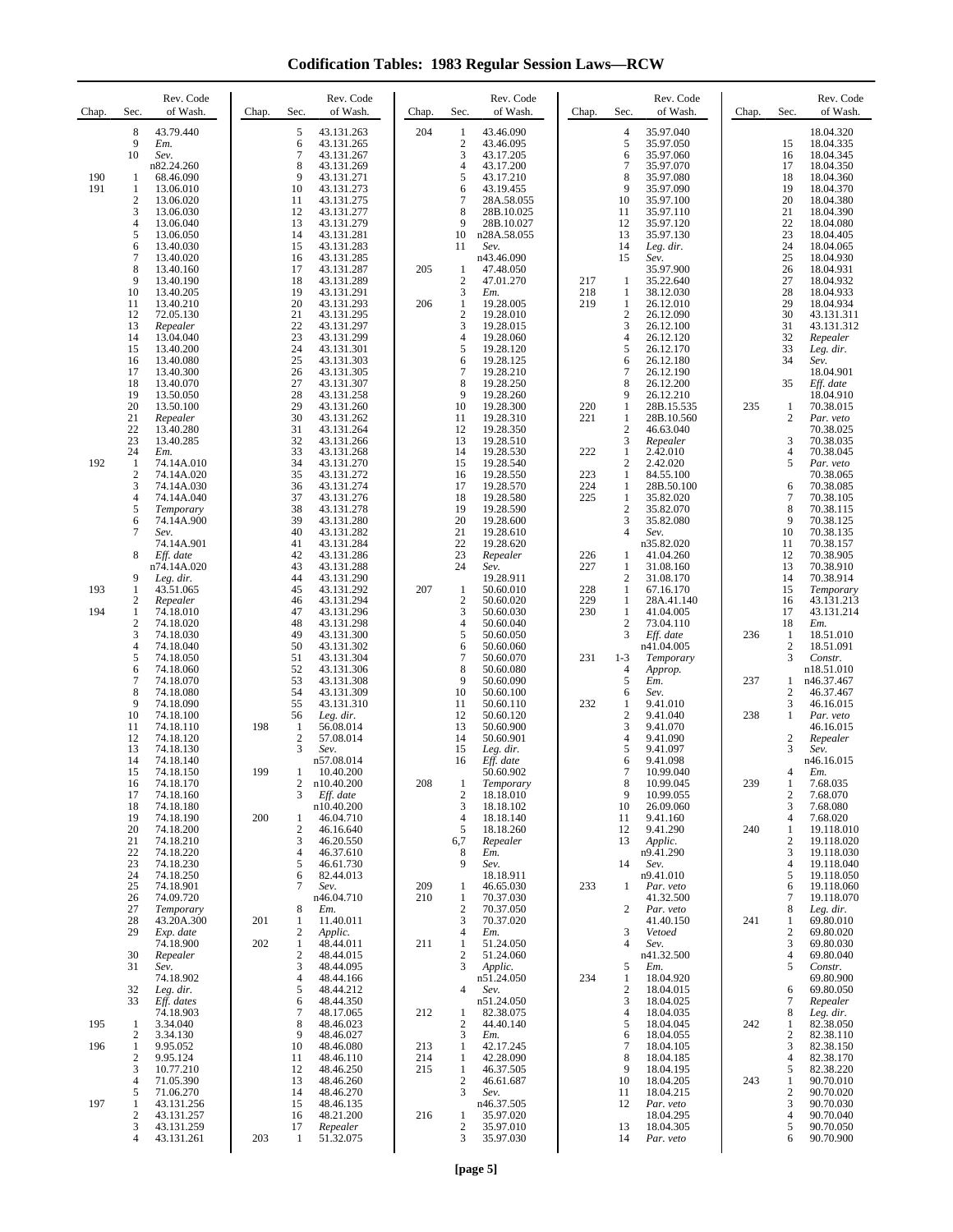**Codification Tables: 1983 Regular Session Laws—RCW**

| Chap.      | Rev. Code<br>Sec.<br>of Wash.                                                                                                                                                                                                                                                        | Rev. Code<br>Chap.<br>Sec.<br>of Wash.                                                                                                                                                                                                                                                                   | Rev. Code<br>Sec.<br>of Wash.<br>Chap.                                                                                                                                                                                                                                                                                                  | Rev. Code<br>Sec.<br>of Wash.<br>Chap.                                                                                                                                                                                                                                                                                                | Rev. Code<br>of Wash.<br>Chap.<br>Sec.                                                                                                                                                                                                                                                                                                 |
|------------|--------------------------------------------------------------------------------------------------------------------------------------------------------------------------------------------------------------------------------------------------------------------------------------|----------------------------------------------------------------------------------------------------------------------------------------------------------------------------------------------------------------------------------------------------------------------------------------------------------|-----------------------------------------------------------------------------------------------------------------------------------------------------------------------------------------------------------------------------------------------------------------------------------------------------------------------------------------|---------------------------------------------------------------------------------------------------------------------------------------------------------------------------------------------------------------------------------------------------------------------------------------------------------------------------------------|----------------------------------------------------------------------------------------------------------------------------------------------------------------------------------------------------------------------------------------------------------------------------------------------------------------------------------------|
| 190<br>191 | 8<br>43.79.440<br>9<br>Em.<br>10<br>Sev.<br>n82.24.260<br>68.46.090<br>1<br>1<br>13.06.010<br>2<br>13.06.020<br>3<br>13.06.030<br>4<br>13.06.040<br>5<br>13.06.050<br>6<br>13.40.030                                                                                                 | 5<br>43.131.263<br>6<br>43.131.265<br>7<br>43.131.267<br>8<br>43.131.269<br>9<br>43.131.271<br>10<br>43.131.273<br>11<br>43.131.275<br>12<br>43.131.277<br>13<br>43.131.279<br>14<br>43.131.281<br>15<br>43.131.283                                                                                      | 204<br>43.46.090<br>1<br>$\boldsymbol{2}$<br>43.46.095<br>3<br>43.17.205<br>$\overline{4}$<br>43.17.200<br>5<br>43.17.210<br>6<br>43.19.455<br>$\overline{7}$<br>28A.58.055<br>8<br>28B.10.025<br>9<br>28B.10.027<br>10<br>n28A.58.055<br>11<br>Sev.                                                                                    | 4<br>35.97.040<br>5<br>35.97.050<br>6<br>35.97.060<br>$\overline{7}$<br>35.97.070<br>8<br>35.97.080<br>9<br>35.97.090<br>10<br>35.97.100<br>11<br>35.97.110<br>12<br>35.97.120<br>13<br>35.97.130<br>14<br>Leg. dir.                                                                                                                  | 18.04.320<br>15<br>18.04.335<br>16<br>18.04.345<br>17<br>18.04.350<br>18<br>18.04.360<br>19<br>18.04.370<br>20<br>18.04.380<br>21<br>18.04.390<br>22<br>18.04.080<br>23<br>18.04.405<br>24<br>18.04.065                                                                                                                                |
|            | 7<br>13.40.020<br>8<br>13.40.160<br>9<br>13.40.190<br>10<br>13.40.205<br>13.40.210<br>11<br>12<br>72.05.130<br>13<br>Repealer<br>14<br>13.04.040<br>15<br>13.40.200<br>16<br>13.40.080<br>17<br>13.40.300<br>18<br>13.40.070<br>19<br>13.50.050<br>20<br>13.50.100<br>21<br>Repealer | 16<br>43.131.285<br>17<br>43.131.287<br>18<br>43.131.289<br>19<br>43.131.291<br>20<br>43.131.293<br>21<br>43.131.295<br>22<br>43.131.297<br>23<br>43.131.299<br>24<br>43.131.301<br>25<br>43.131.303<br>26<br>43.131.305<br>27<br>43.131.307<br>28<br>43.131.258<br>29<br>43.131.260<br>30<br>43.131.262 | n43.46.090<br>47.48.050<br>205<br>1<br>$\overline{2}$<br>47.01.270<br>3<br>Em.<br>206<br>19.28.005<br>$\mathbf{1}$<br>$\overline{2}$<br>19.28.010<br>3<br>19.28.015<br>$\overline{4}$<br>19.28.060<br>5<br>19.28.120<br>19.28.125<br>6<br>$\tau$<br>19.28.210<br>8<br>19.28.250<br>9<br>19.28.260<br>10<br>19.28.300<br>11<br>19.28.310 | 15<br>Sev.<br>35.97.900<br>217<br>1<br>35.22.640<br>218<br>1<br>38.12.030<br>219<br>26.12.010<br>1<br>$\overline{c}$<br>26.12.090<br>3<br>26.12.100<br>$\overline{4}$<br>26.12.120<br>5<br>26.12.170<br>6<br>26.12.180<br>$\tau$<br>26.12.190<br>8<br>26.12.200<br>9<br>26.12.210<br>220<br>1<br>28B.15.535<br>221<br>1<br>28B.10.560 | 25<br>18.04.930<br>26<br>18.04.931<br>27<br>18.04.932<br>28<br>18.04.933<br>29<br>18.04.934<br>30<br>43.131.311<br>31<br>43.131.312<br>32<br>Repealer<br>33<br>Leg. dir.<br>34<br>Sev.<br>18.04.901<br>35<br>Eff. date<br>18.04.910<br>235<br>1<br>70.38.015<br>2<br>Par. veto                                                         |
| 192        | 22<br>13.40.280<br>23<br>13.40.285<br>24<br>Em.<br>$\mathbf{1}$<br>74.14A.010<br>$\overline{2}$<br>74.14A.020<br>3<br>74.14A.030<br>4<br>74.14A.040<br>5<br>Temporary<br>6<br>74.14A.900<br>7<br>Sev.<br>74.14A.901                                                                  | 31<br>43.131.264<br>32<br>43.131.266<br>33<br>43.131.268<br>34<br>43.131.270<br>35<br>43.131.272<br>36<br>43.131.274<br>37<br>43.131.276<br>38<br>43.131.278<br>39<br>43.131.280<br>40<br>43.131.282<br>41<br>43.131.284                                                                                 | 19.28.350<br>12<br>13<br>19.28.510<br>14<br>19.28.530<br>15<br>19.28.540<br>19.28.550<br>16<br>17<br>19.28.570<br>18<br>19.28.580<br>19.28.590<br>19<br>20<br>19.28.600<br>21<br>19.28.610<br>22<br>19.28.620                                                                                                                           | $\overline{c}$<br>46.63.040<br>3<br>Repealer<br>222<br>2.42.010<br>1<br>$\overline{c}$<br>2.42.020<br>223<br>1<br>84.55.100<br>224<br>1<br>28B.50.100<br>225<br>1<br>35.82.020<br>$\overline{c}$<br>35.82.070<br>3<br>35.82.080<br>$\overline{4}$<br>Sev.                                                                             | 70.38.025<br>3<br>70.38.035<br>$\overline{4}$<br>70.38.045<br>5<br>Par. veto<br>70.38.065<br>6<br>70.38.085<br>$\tau$<br>70.38.105<br>8<br>70.38.115<br>9<br>70.38.125<br>10<br>70.38.135<br>11<br>70.38.157                                                                                                                           |
| 193<br>194 | 8<br>Eff. date<br>n74.14A.020<br>9<br>Leg. dir.<br>43.51.065<br>1<br>2<br>Repealer<br>1<br>74.18.010<br>$\overline{2}$<br>74.18.020<br>3<br>74.18.030<br>4<br>74.18.040<br>5<br>74.18.050<br>6<br>74.18.060<br>7<br>74.18.070                                                        | 42<br>43.131.286<br>43<br>43.131.288<br>44<br>43.131.290<br>45<br>43.131.292<br>46<br>43.131.294<br>47<br>43.131.296<br>48<br>43.131.298<br>49<br>43.131.300<br>50<br>43.131.302<br>51<br>43.131.304<br>52<br>43.131.306<br>53<br>43.131.308                                                             | 23<br>Repealer<br>24<br>Sev.<br>19.28.911<br>207<br>$\mathbf{1}$<br>50.60.010<br>$\boldsymbol{2}$<br>50.60.020<br>3<br>50.60.030<br>$\overline{\mathcal{L}}$<br>50.60.040<br>5<br>50.60.050<br>6<br>50.60.060<br>$\overline{7}$<br>50.60.070<br>8<br>50.60.080<br>9<br>50.60.090                                                        | n35.82.020<br>226<br>41.04.260<br>1<br>227<br>31.08.160<br>1<br>$\overline{c}$<br>31.08.170<br>228<br>$\mathbf{1}$<br>67.16.170<br>229<br>28A.41.140<br>1<br>230<br>1<br>41.04.005<br>$\boldsymbol{2}$<br>73.04.110<br>3<br>Eff. date<br>n41.04.005<br>231<br>$1 - 3$<br>Temporary<br>4<br>Approp.<br>5<br>Em.                        | 12<br>70.38.905<br>13<br>70.38.910<br>14<br>70.38.914<br>15<br>Temporary<br>16<br>43.131.213<br>17<br>43.131.214<br>18<br>Em.<br>236<br>18.51.010<br>1<br>$\mathbf{2}$<br>18.51.091<br>3<br>Constr.<br>n18.51.010<br>237<br>n46.37.467<br>1                                                                                            |
|            | 8<br>74.18.080<br>9<br>74.18.090<br>10<br>74.18.100<br>11<br>74.18.110<br>12<br>74.18.120<br>13<br>74.18.130<br>14<br>74.18.140<br>15<br>74.18.150<br>74.18.170<br>16<br>17<br>74.18.160<br>74.18.180<br>18<br>19<br>74.18.190<br>74.18.200<br>20<br>21<br>74.18.210                 | 54<br>43.131.309<br>55<br>43.131.310<br>56<br>Leg. dir.<br>198<br>56.08.014<br>1<br>$\mathbf{2}$<br>57.08.014<br>3<br>Sev.<br>n57.08.014<br>199<br>10.40.200<br>1<br>2<br>n10.40.200<br>3<br>Eff. date<br>n10.40.200<br>200<br>46.04.710<br>1<br>$\boldsymbol{2}$<br>46.16.640<br>3<br>46.20.550         | 10<br>50.60.100<br>11<br>50.60.110<br>12<br>50.60.120<br>13<br>50.60.900<br>14<br>50.60.901<br>15<br>Leg. dir.<br>16<br>Eff. date<br>50.60.902<br>208<br>Temporary<br>1<br>18.18.010<br>2<br>3<br>18.18.102<br>$\overline{4}$<br>18.18.140<br>5<br>18.18.260<br>6,7<br>Repealer                                                         | 6<br>Sev.<br>232<br>1<br>9.41.010<br>$\overline{c}$<br>9.41.040<br>3<br>9.41.070<br>4<br>9.41.090<br>5<br>9.41.097<br>6<br>9.41.098<br>7<br>10.99.040<br>8<br>10.99.045<br>9<br>10.99.055<br>26.09.060<br>10<br>9.41.160<br>11<br>12<br>9.41.290<br>13<br>Applic.                                                                     | $\overline{c}$<br>46.37.467<br>3<br>46.16.015<br>238<br>1<br>Par. veto<br>46.16.015<br>$\boldsymbol{2}$<br>Repealer<br>3<br>Sev.<br>n46.16.015<br>4<br>Em.<br>239<br>$\mathbf{1}$<br>7.68.035<br>$\boldsymbol{2}$<br>7.68.070<br>3<br>7.68.080<br>$\overline{4}$<br>7.68.020<br>240<br>1<br>19.118.010<br>$\mathfrak{2}$<br>19.118.020 |
|            | 22<br>74.18.220<br>23<br>74.18.230<br>24<br>74.18.250<br>25<br>74.18.901<br>26<br>74.09.720<br>27<br>Temporary<br>28<br>43.20A.300<br>29<br>Exp. date<br>74.18.900                                                                                                                   | 4<br>46.37.610<br>5<br>46.61.730<br>6<br>82.44.013<br>7<br>Sev.<br>n46.04.710<br>8<br>Em.<br>201<br>1<br>11.40.011<br>$\overline{c}$<br>Applic.<br>$\mathbf{1}$<br>202<br>48.44.011                                                                                                                      | 8<br>Em.<br>Sev.<br>9<br>18.18.911<br>209<br>46.65.030<br>1<br>210<br>$\mathbf{1}$<br>70.37.030<br>$\overline{2}$<br>70.37.050<br>3<br>70.37.020<br>4<br>Em.<br>211<br>1<br>51.24.050                                                                                                                                                   | n9.41.290<br>14<br>Sev.<br>n9.41.010<br>233<br>1<br>Par. veto<br>41.32.500<br>2<br>Par. veto<br>41.40.150<br>3<br>Vetoed<br>$\overline{4}$<br>Sev.                                                                                                                                                                                    | 3<br>19.118.030<br>4<br>19.118.040<br>5<br>19.118.050<br>19.118.060<br>6<br>7<br>19.118.070<br>8<br>Leg. dir.<br>241<br>69.80.010<br>1<br>$\mathfrak{2}$<br>69.80.020<br>3<br>69.80.030                                                                                                                                                |
| 195<br>196 | 30<br>Repealer<br>31<br>Sev.<br>74.18.902<br>32<br>Leg. dir.<br>33<br>Eff. dates<br>74.18.903<br>3.34.040<br>$\mathbf{1}$<br>$\mathbf{2}$<br>3.34.130<br>9.95.052<br>1                                                                                                               | 2<br>48.44.015<br>3<br>48.44.095<br>$\overline{4}$<br>48.44.166<br>5<br>48.44.212<br>48.44.350<br>6<br>$\tau$<br>48.17.065<br>8<br>48.46.023<br>9<br>48.46.027<br>10<br>48.46.080                                                                                                                        | $\overline{2}$<br>51.24.060<br>3<br>Applic.<br>n51.24.050<br>$\overline{4}$<br>Sev.<br>n51.24.050<br>212<br>82.38.075<br>1<br>$\overline{c}$<br>44.40.140<br>3<br>Em.<br>213<br>42.17.245<br>1                                                                                                                                          | n41.32.500<br>5<br>Em.<br>234<br>1<br>18.04.920<br>$\overline{c}$<br>18.04.015<br>3<br>18.04.025<br>18.04.035<br>4<br>5<br>18.04.045<br>18.04.055<br>6<br>7<br>18.04.105                                                                                                                                                              | $\overline{4}$<br>69.80.040<br>5<br>Constr.<br>69.80.900<br>69.80.050<br>6<br>7<br>Repealer<br>8<br>Leg. dir.<br>242<br>$\mathbf{1}$<br>82.38.050<br>$\mathfrak{2}$<br>82.38.110<br>3<br>82.38.150                                                                                                                                     |
| 197        | 2<br>9.95.124<br>3<br>10.77.210<br>4<br>71.05.390<br>5<br>71.06.270<br>1<br>43.131.256<br>$\overline{2}$<br>43.131.257<br>3<br>43.131.259<br>4<br>43.131.261                                                                                                                         | 11<br>48.46.110<br>12<br>48.46.250<br>13<br>48.46.260<br>48.46.270<br>14<br>15<br>48.46.135<br>16<br>48.21.200<br>17<br>Repealer<br>51.32.075<br>203<br>1                                                                                                                                                | 214<br>1<br>42.28.090<br>215<br>$\mathbf{1}$<br>46.37.505<br>$\overline{2}$<br>46.61.687<br>3<br>Sev.<br>n46.37.505<br>35.97.020<br>216<br>1<br>$\boldsymbol{2}$<br>35.97.010<br>3<br>35.97.030                                                                                                                                         | 8<br>18.04.185<br>9<br>18.04.195<br>10<br>18.04.205<br>18.04.215<br>11<br>12<br>Par. veto<br>18.04.295<br>18.04.305<br>13<br>14<br>Par. veto                                                                                                                                                                                          | 4<br>82.38.170<br>5<br>82.38.220<br>243<br>$\mathbf{1}$<br>90.70.010<br>$\sqrt{2}$<br>90.70.020<br>3<br>90.70.030<br>$\overline{4}$<br>90.70.040<br>5<br>90.70.050<br>6<br>90.70.900                                                                                                                                                   |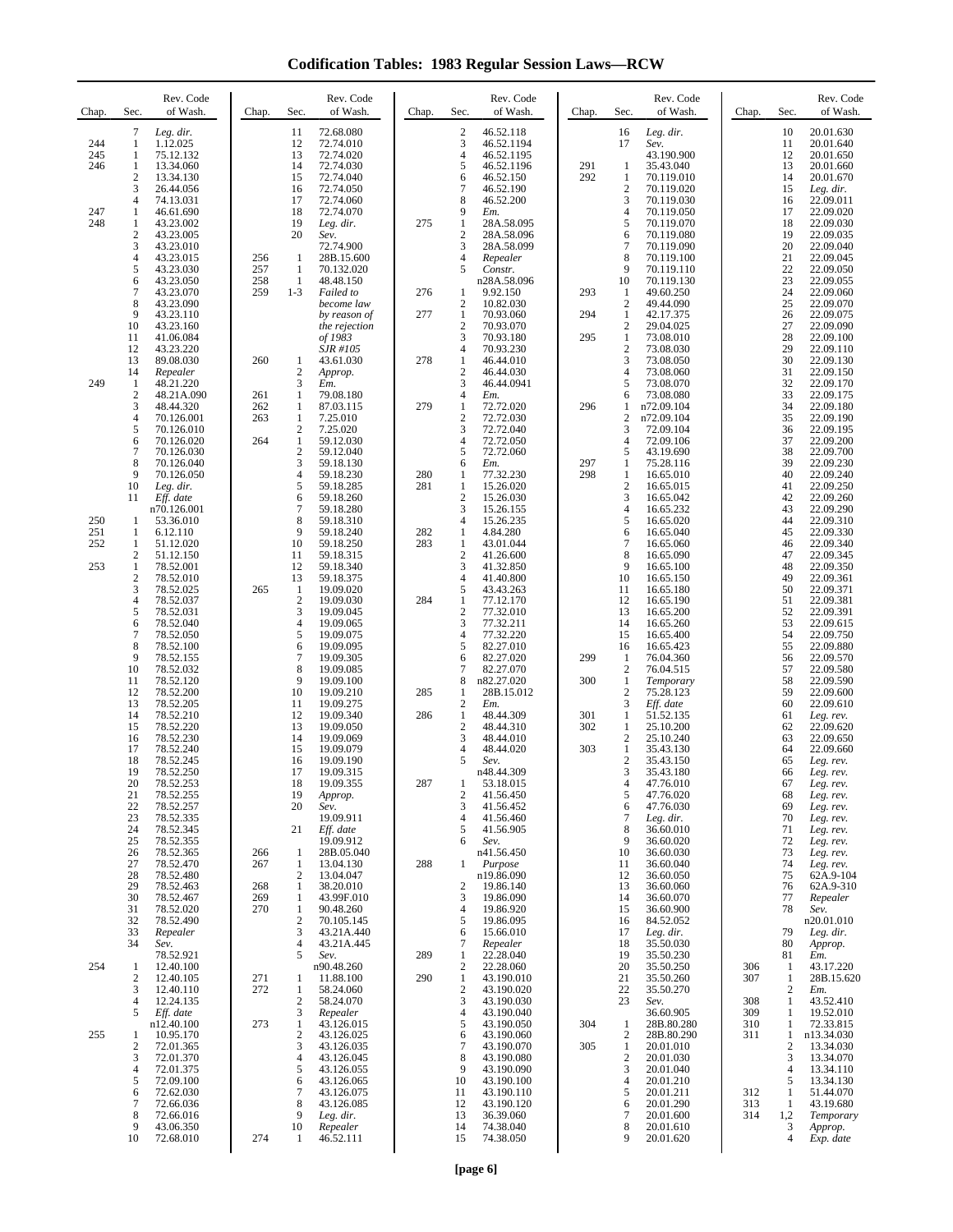**Codification Tables: 1983 Regular Session Laws—RCW**

| Chap.      | Sec.                             | Rev. Code<br>of Wash.    | Chap.      | Sec.                           | Rev. Code<br>of Wash.        | Chap.      | Sec.                                          | Rev. Code<br>of Wash.    | Chap.      | Sec.                             | Rev. Code<br>of Wash.    | Chap.      | Sec.                  | Rev. Code<br>of Wash.   |
|------------|----------------------------------|--------------------------|------------|--------------------------------|------------------------------|------------|-----------------------------------------------|--------------------------|------------|----------------------------------|--------------------------|------------|-----------------------|-------------------------|
| 244        | 7<br>1                           | Leg. dir.<br>1.12.025    |            | 11<br>12                       | 72.68.080<br>72.74.010       |            | $\sqrt{2}$<br>3                               | 46.52.118<br>46.52.1194  |            | 16<br>17                         | Leg. dir.<br>Sev.        |            | 10<br>11              | 20.01.630<br>20.01.640  |
| 245<br>246 | 1<br>1                           | 75.12.132<br>13.34.060   |            | 13<br>14                       | 72.74.020<br>72.74.030       |            | $\overline{4}$<br>5                           | 46.52.1195<br>46.52.1196 | 291        | 1                                | 43.190.900<br>35.43.040  |            | 12<br>13              | 20.01.650<br>20.01.660  |
|            | $\mathbf{2}$<br>3                | 13.34.130<br>26.44.056   |            | 15<br>16                       | 72.74.040<br>72.74.050       |            | 6<br>$\tau$                                   | 46.52.150<br>46.52.190   | 292        | 1<br>$\overline{c}$              | 70.119.010<br>70.119.020 |            | 14<br>15              | 20.01.670<br>Leg. dir.  |
| 247        | 4<br>1                           | 74.13.031<br>46.61.690   |            | 17<br>18                       | 72.74.060<br>72.74.070       |            | 8<br>9                                        | 46.52.200<br>Em.         |            | 3<br>4                           | 70.119.030<br>70.119.050 |            | 16<br>17              | 22.09.011<br>22.09.020  |
| 248        | $\mathbf{1}$<br>$\boldsymbol{2}$ | 43.23.002                |            | 19<br>20                       | Leg. dir.                    | 275        | $\mathbf{1}$<br>$\sqrt{2}$                    | 28A.58.095<br>28A.58.096 |            | 5<br>6                           | 70.119.070               |            | 18<br>19              | 22.09.030               |
|            | 3                                | 43.23.005<br>43.23.010   |            |                                | Sev.<br>72.74.900            |            | 3                                             | 28A.58.099               |            | 7                                | 70.119.080<br>70.119.090 |            | 20                    | 22.09.035<br>22.09.040  |
|            | 4<br>5                           | 43.23.015<br>43.23.030   | 256<br>257 | 1<br>1                         | 28B.15.600<br>70.132.020     |            | $\overline{4}$<br>5                           | Repealer<br>Constr.      |            | 8<br>9                           | 70.119.100<br>70.119.110 |            | 21<br>22              | 22.09.045<br>22.09.050  |
|            | 6<br>7                           | 43.23.050<br>43.23.070   | 258<br>259 | 1<br>$1 - 3$                   | 48.48.150<br>Failed to       | 276        | 1                                             | n28A.58.096<br>9.92.150  | 293        | 10<br>1                          | 70.119.130<br>49.60.250  |            | 23<br>24              | 22.09.055<br>22.09.060  |
|            | 8<br>9                           | 43.23.090<br>43.23.110   |            |                                | become law<br>by reason of   | 277        | $\boldsymbol{2}$<br>$\mathbf{1}$              | 10.82.030<br>70.93.060   | 294        | $\boldsymbol{2}$<br>$\mathbf{1}$ | 49.44.090<br>42.17.375   |            | 25<br>26              | 22.09.070<br>22.09.075  |
|            | 10<br>11                         | 43.23.160<br>41.06.084   |            |                                | the rejection<br>of 1983     |            | $\sqrt{2}$<br>3                               | 70.93.070<br>70.93.180   | 295        | $\overline{c}$<br>$\mathbf{1}$   | 29.04.025<br>73.08.010   |            | 27<br>28              | 22.09.090<br>22.09.100  |
|            | 12<br>13                         | 43.23.220<br>89.08.030   | 260        | 1                              | <i>SJR #105</i><br>43.61.030 | 278        | $\overline{4}$<br>1                           | 70.93.230<br>46.44.010   |            | $\overline{c}$<br>3              | 73.08.030<br>73.08.050   |            | 29<br>30              | 22.09.110<br>22.09.130  |
| 249        | 14                               | Repealer                 |            | $\mathfrak{2}$<br>3            | Approp.                      |            | $\overline{2}$<br>$\mathfrak{Z}$              | 46.44.030<br>46.44.0941  |            | 4<br>5                           | 73.08.060                |            | 31<br>32              | 22.09.150               |
|            | $\mathbf{1}$<br>$\overline{2}$   | 48.21.220<br>48.21A.090  | 261        | 1                              | Em.<br>79.08.180             |            | $\overline{4}$                                | Em.                      |            | 6                                | 73.08.070<br>73.08.080   |            | 33                    | 22.09.170<br>22.09.175  |
|            | 3<br>4                           | 48.44.320<br>70.126.001  | 262<br>263 | 1<br>1                         | 87.03.115<br>7.25.010        | 279        | $\mathbf{1}$<br>$\sqrt{2}$                    | 72.72.020<br>72.72.030   | 296        | 1<br>$\overline{c}$              | n72.09.104<br>n72.09.104 |            | 34<br>35              | 22.09.180<br>22.09.190  |
|            | 5<br>6                           | 70.126.010<br>70.126.020 | 264        | $\mathfrak{2}$<br>$\mathbf{1}$ | 7.25.020<br>59.12.030        |            | 3<br>$\overline{4}$                           | 72.72.040<br>72.72.050   |            | 3<br>4                           | 72.09.104<br>72.09.106   |            | 36<br>37              | 22.09.195<br>22.09.200  |
|            | 7<br>8                           | 70.126.030<br>70.126.040 |            | $\boldsymbol{2}$<br>3          | 59.12.040<br>59.18.130       |            | 5<br>6                                        | 72.72.060<br>Em.         | 297        | 5<br>$\mathbf{1}$                | 43.19.690<br>75.28.116   |            | 38<br>39              | 22.09.700<br>22.09.230  |
|            | 9<br>10                          | 70.126.050<br>Leg. dir.  |            | 4<br>5                         | 59.18.230<br>59.18.285       | 280<br>281 | 1<br>1                                        | 77.32.230<br>15.26.020   | 298        | 1<br>$\sqrt{2}$                  | 16.65.010<br>16.65.015   |            | 40<br>41              | 22.09.240<br>22.09.250  |
|            | 11                               | Eff. date<br>n70.126.001 |            | 6<br>7                         | 59.18.260<br>59.18.280       |            | $\overline{2}$<br>3                           | 15.26.030<br>15.26.155   |            | 3<br>4                           | 16.65.042<br>16.65.232   |            | 42<br>43              | 22.09.260<br>22.09.290  |
| 250<br>251 | -1<br>1                          | 53.36.010<br>6.12.110    |            | 8<br>9                         | 59.18.310<br>59.18.240       | 282        | $\overline{4}$<br>1                           | 15.26.235<br>4.84.280    |            | 5<br>6                           | 16.65.020<br>16.65.040   |            | 44<br>45              | 22.09.310<br>22.09.330  |
| 252        | -1                               | 51.12.020                |            | 10<br>11                       | 59.18.250<br>59.18.315       | 283        | 1<br>$\overline{c}$                           | 43.01.044                |            | 7<br>8                           | 16.65.060                |            | 46<br>47              | 22.09.340<br>22.09.345  |
| 253        | 2<br>$\mathbf{1}$                | 51.12.150<br>78.52.001   |            | 12                             | 59.18.340                    |            | 3                                             | 41.26.600<br>41.32.850   |            | 9                                | 16.65.090<br>16.65.100   |            | 48                    | 22.09.350               |
|            | $\boldsymbol{2}$<br>3            | 78.52.010<br>78.52.025   | 265        | 13<br>1                        | 59.18.375<br>19.09.020       |            | $\overline{4}$<br>5                           | 41.40.800<br>43.43.263   |            | 10<br>11                         | 16.65.150<br>16.65.180   |            | 49<br>50              | 22.09.361<br>22.09.371  |
|            | 4<br>5                           | 78.52.037<br>78.52.031   |            | $\boldsymbol{2}$<br>3          | 19.09.030<br>19.09.045       | 284        | 1<br>$\overline{2}$                           | 77.12.170<br>77.32.010   |            | 12<br>13                         | 16.65.190<br>16.65.200   |            | 51<br>52              | 22.09.381<br>22.09.391  |
|            | 6<br>7                           | 78.52.040<br>78.52.050   |            | $\overline{4}$<br>5            | 19.09.065<br>19.09.075       |            | $\ensuremath{\mathfrak{Z}}$<br>$\overline{4}$ | 77.32.211<br>77.32.220   |            | 14<br>15                         | 16.65.260<br>16.65.400   |            | 53<br>54              | 22.09.615<br>22.09.750  |
|            | 8<br>9                           | 78.52.100<br>78.52.155   |            | 6<br>$\overline{7}$            | 19.09.095<br>19.09.305       |            | 5<br>6                                        | 82.27.010<br>82.27.020   | 299        | 16<br>1                          | 16.65.423<br>76.04.360   |            | 55<br>56              | 22.09.880<br>22.09.570  |
|            | 10<br>11                         | 78.52.032<br>78.52.120   |            | 8<br>9                         | 19.09.085<br>19.09.100       |            | $\overline{7}$<br>8                           | 82.27.070<br>n82.27.020  | 300        | $\overline{2}$<br>1              | 76.04.515<br>Temporary   |            | 57<br>58              | 22.09.580<br>22.09.590  |
|            | 12<br>13                         | 78.52.200<br>78.52.205   |            | 10<br>11                       | 19.09.210<br>19.09.275       | 285        | 1<br>$\boldsymbol{2}$                         | 28B.15.012<br>Em.        |            | $\overline{c}$<br>3              | 75.28.123<br>Eff. date   |            | 59<br>60              | 22.09.600<br>22.09.610  |
|            | 14<br>15                         | 78.52.210<br>78.52.220   |            | 12<br>13                       | 19.09.340<br>19.09.050       | 286        | $\mathbf{1}$<br>$\overline{2}$                | 48.44.309<br>48.44.310   | 301<br>302 | $\mathbf{1}$<br>1                | 51.52.135<br>25.10.200   |            | 61<br>62              | Leg. rev.<br>22.09.620  |
|            | 16                               | 78.52.230                |            | 14                             | 19.09.069                    |            | 3                                             | 48.44.010                |            | $\overline{c}$                   | 25.10.240                |            | 63                    | 22.09.650               |
|            | 17<br>18                         | 78.52.240<br>78.52.245   |            | 15<br>16                       | 19.09.079<br>19.09.190       |            | $\overline{4}$<br>5                           | 48.44.020<br>Sev.        | 303        | 1<br>$\overline{c}$              | 35.43.130<br>35.43.150   |            | 64<br>65              | 22.09.660<br>Leg. rev.  |
|            | 19<br>20                         | 78.52.250<br>78.52.253   |            | 17<br>18                       | 19.09.315<br>19.09.355       | 287        | 1                                             | n48.44.309<br>53.18.015  |            | 3<br>4                           | 35.43.180<br>47.76.010   |            | 66<br>67              | Leg. rev.<br>Leg. rev.  |
|            | 21<br>22                         | 78.52.255<br>78.52.257   |            | 19<br>20                       | Approp.<br>Sev.              |            | $\overline{2}$<br>3                           | 41.56.450<br>41.56.452   |            | 5<br>6                           | 47.76.020<br>47.76.030   |            | 68<br>69              | Leg. rev.<br>Leg. rev.  |
|            | 23<br>24                         | 78.52.335<br>78.52.345   |            | 21                             | 19.09.911<br>Eff. date       |            | $\overline{4}$<br>5                           | 41.56.460<br>41.56.905   |            | 7<br>8                           | Leg. dir.<br>36.60.010   |            | 70<br>71              | Leg. rev.<br>Leg. rev.  |
|            | 25<br>26                         | 78.52.355<br>78.52.365   | 266        | 1                              | 19.09.912<br>28B.05.040      |            | 6                                             | Sev.<br>n41.56.450       |            | 9<br>10                          | 36.60.020<br>36.60.030   |            | 72<br>73              | Leg. rev.<br>Leg. rev.  |
|            | 27<br>28                         | 78.52.470<br>78.52.480   | 267        | 1<br>$\mathfrak{2}$            | 13.04.130<br>13.04.047       | 288        | 1                                             | Purpose<br>n19.86.090    |            | 11<br>12                         | 36.60.040<br>36.60.050   |            | 74<br>75              | Leg. rev.<br>62A.9-104  |
|            | 29<br>30                         | 78.52.463<br>78.52.467   | 268<br>269 | 1<br>$\mathbf{1}$              | 38.20.010<br>43.99F.010      |            | $\overline{c}$<br>3                           | 19.86.140<br>19.86.090   |            | 13<br>14                         | 36.60.060<br>36.60.070   |            | 76<br>77              | 62A.9-310<br>Repealer   |
|            | 31<br>32                         | 78.52.020<br>78.52.490   | 270        | 1<br>$\boldsymbol{2}$          | 90.48.260<br>70.105.145      |            | $\overline{4}$<br>5                           | 19.86.920<br>19.86.095   |            | 15<br>16                         | 36.60.900<br>84.52.052   |            | 78                    | Sev.<br>n20.01.010      |
|            | 33                               | Repealer                 |            | 3                              | 43.21A.440<br>43.21A.445     |            | 6                                             | 15.66.010                |            | 17                               | Leg. dir.                |            | 79<br>80              | Leg. dir.               |
|            | 34                               | Sev.<br>78.52.921        |            | 4<br>5                         | Sev.                         | 289        | $\tau$<br>1                                   | Repealer<br>22.28.040    |            | 18<br>19                         | 35.50.030<br>35.50.230   |            | 81                    | Approp.<br>Em.          |
| 254        | $\mathbf{1}$<br>$\overline{2}$   | 12.40.100<br>12.40.105   | 271        | 1                              | n90.48.260<br>11.88.100      | 290        | $\boldsymbol{2}$<br>$\mathbf{1}$              | 22.28.060<br>43.190.010  |            | 20<br>21                         | 35.50.250<br>35.50.260   | 306<br>307 | 1<br>1                | 43.17.220<br>28B.15.620 |
|            | 3<br>$\overline{4}$              | 12.40.110<br>12.24.135   | 272        | 1<br>$\mathfrak{2}$            | 58.24.060<br>58.24.070       |            | $\sqrt{2}$<br>$\mathfrak{Z}$                  | 43.190.020<br>43.190.030 |            | 22<br>23                         | 35.50.270<br>Sev.        | 308        | 2<br>$\mathbf{1}$     | Em.<br>43.52.410        |
|            | 5                                | Eff. date<br>n12.40.100  | 273        | 3<br>1                         | Repealer<br>43.126.015       |            | $\overline{4}$<br>5                           | 43.190.040<br>43.190.050 | 304        | 1                                | 36.60.905<br>28B.80.280  | 309<br>310 | 1<br>1                | 19.52.010<br>72.33.815  |
| 255        | $\mathbf{1}$<br>2                | 10.95.170<br>72.01.365   |            | $\mathfrak{2}$<br>3            | 43.126.025<br>43.126.035     |            | 6<br>$\overline{7}$                           | 43.190.060<br>43.190.070 | 305        | $\overline{c}$<br>$\mathbf{1}$   | 28B.80.290<br>20.01.010  | 311        | 1<br>$\boldsymbol{2}$ | n13.34.030<br>13.34.030 |
|            | 3<br>4                           | 72.01.370<br>72.01.375   |            | 4<br>5                         | 43.126.045<br>43.126.055     |            | 8<br>9                                        | 43.190.080<br>43.190.090 |            | $\overline{c}$<br>3              | 20.01.030<br>20.01.040   |            | 3<br>$\overline{4}$   | 13.34.070<br>13.34.110  |
|            | 5<br>6                           | 72.09.100<br>72.62.030   |            | 6<br>$\overline{7}$            | 43.126.065<br>43.126.075     |            | 10<br>11                                      | 43.190.100<br>43.190.110 |            | $\overline{4}$<br>5              | 20.01.210<br>20.01.211   | 312        | 5<br>1                | 13.34.130<br>51.44.070  |
|            | 7<br>8                           | 72.66.036<br>72.66.016   |            | 8<br>9                         | 43.126.085<br>Leg. dir.      |            | 12<br>13                                      | 43.190.120<br>36.39.060  |            | 6<br>7                           | 20.01.290<br>20.01.600   | 313<br>314 | -1<br>1,2             | 43.19.680<br>Temporary  |
|            | 9<br>10                          | 43.06.350<br>72.68.010   | 274        | 10<br>1                        | Repealer<br>46.52.111        |            | 14<br>15                                      | 74.38.040<br>74.38.050   |            | 8<br>9                           | 20.01.610<br>20.01.620   |            | 3<br>$\overline{4}$   | Approp.<br>Exp. date    |
|            |                                  |                          |            |                                |                              |            |                                               |                          |            |                                  |                          |            |                       |                         |